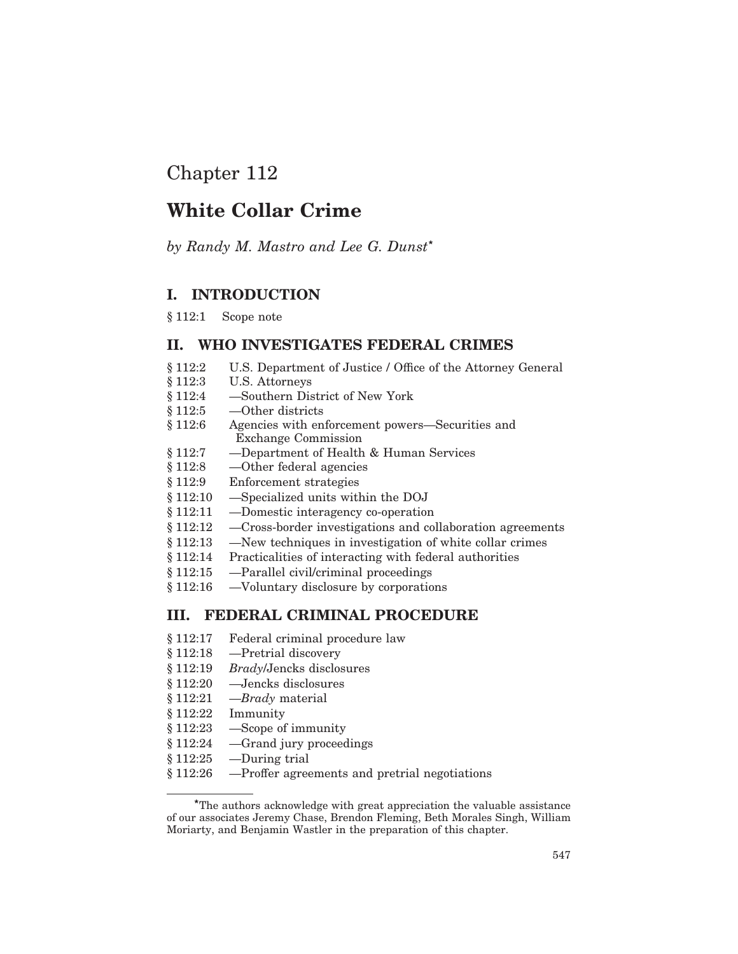# Chapter 112

# **White Collar Crime**

by Randy M. Mastro and Lee G. Dunst\*

# I. INTRODUCTION

 $§ 112:1$ Scope note

# II. WHO INVESTIGATES FEDERAL CRIMES

- § 112:2 U.S. Department of Justice / Office of the Attorney General
- § 112:3 U.S. Attorneys
- $§ 112:4$ -Southern District of New York
- § 112:5  $-$ Other districts
- $$112:6$ Agencies with enforcement powers—Securities and **Exchange Commission**
- -Department of Health & Human Services  $§ 112:7$
- $$112:8$ —Other federal agencies
- $§ 112:9$ Enforcement strategies
- $$112:10$ -Specialized units within the DOJ
- § 112:11 -Domestic interagency co-operation
- § 112:12 -Cross-border investigations and collaboration agreements
- $$112:13$ -New techniques in investigation of white collar crimes
- § 112:14 Practicalities of interacting with federal authorities
- -Parallel civil/criminal proceedings § 112:15
- -Voluntary disclosure by corporations  $$112:16$

# **III. FEDERAL CRIMINAL PROCEDURE**

- § 112:17 Federal criminal procedure law
- $$112:18$ -Pretrial discovery
- § 112:19 *Brady*/Jencks disclosures
- -Jencks disclosures  $$112:20$
- $§ 112:21$  $-$ *Brady* material
- $$112:22$ Immunity
- § 112:23 -Scope of immunity
- -Grand jury proceedings § 112:24
- $$112:25$ -During trial
- § 112:26 -Proffer agreements and pretrial negotiations

<sup>\*</sup>The authors acknowledge with great appreciation the valuable assistance of our associates Jeremy Chase, Brendon Fleming, Beth Morales Singh, William Moriarty, and Benjamin Wastler in the preparation of this chapter.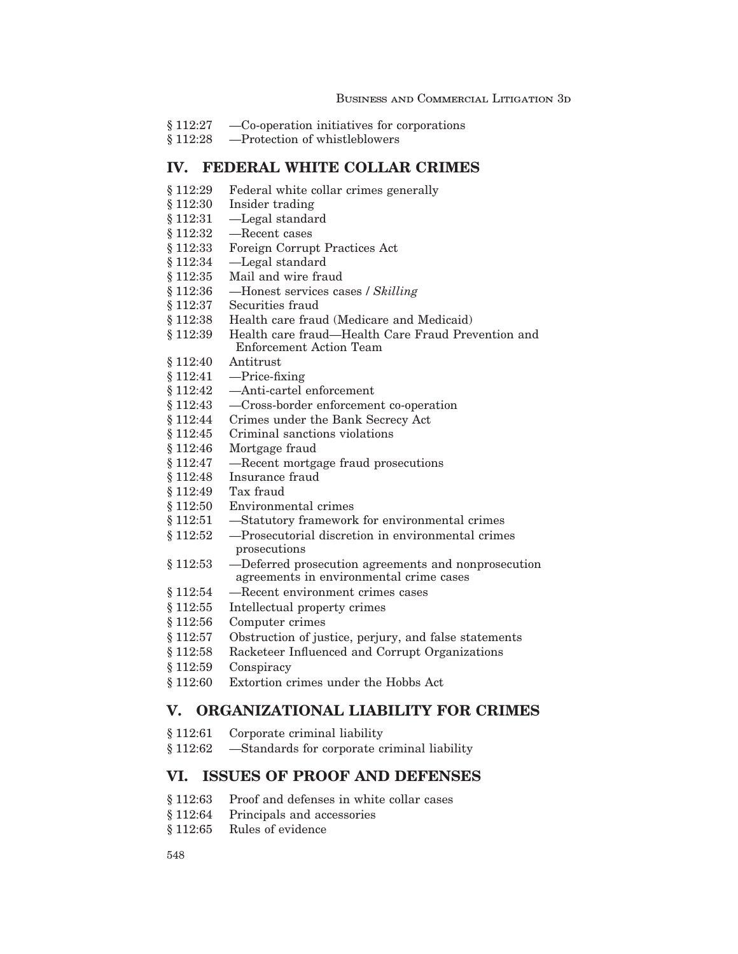- $$112:27$ -Co-operation initiatives for corporations
- -Protection of whistleblowers § 112:28

# IV. FEDERAL WHITE COLLAR CRIMES

- § 112:29 Federal white collar crimes generally
- § 112:30 Insider trading
- § 112:31 -Legal standard
- § 112:32 -Recent cases
- Foreign Corrupt Practices Act § 112:33
- § 112:34 -Legal standard
- $$112:35$ Mail and wire fraud
- § 112:36 -Honest services cases / Skilling
- $$112:37$ Securities fraud
- $$112:38$ Health care fraud (Medicare and Medicaid)
- $$112:39$ Health care fraud—Health Care Fraud Prevention and Enforcement Action Team
- $$112:40$ Antitrust
- § 112:41  $-$ Price-fixing
- $$112:42$ -Anti-cartel enforcement
- $$112:43$ -Cross-border enforcement co-operation
- § 112:44 Crimes under the Bank Secrecy Act
- § 112:45 Criminal sanctions violations
- $$112:46$ Mortgage fraud
- § 112:47 -Recent mortgage fraud prosecutions
- § 112:48 Insurance fraud
- Tax fraud § 112:49
- § 112:50 Environmental crimes
- -Statutory framework for environmental crimes  $$112:51$
- § 112:52 -Prosecutorial discretion in environmental crimes prosecutions
- $$112:53$ -Deferred prosecution agreements and nonprosecution agreements in environmental crime cases
- -Recent environment crimes cases § 112:54
- $§ 112:55$ Intellectual property crimes
- $$112:56$ Computer crimes
- § 112:57 Obstruction of justice, perjury, and false statements
- Racketeer Influenced and Corrupt Organizations 8 1 1 2:58
- § 112:59 Conspiracy
- $$112:60$ Extortion crimes under the Hobbs Act

# V. ORGANIZATIONAL LIABILITY FOR CRIMES

- § 112:61 Corporate criminal liability
- -Standards for corporate criminal liability \$112:62

# VI. ISSUES OF PROOF AND DEFENSES

- $$112:63$ Proof and defenses in white collar cases
- § 112:64 Principals and accessories
- Rules of evidence  $$112:65$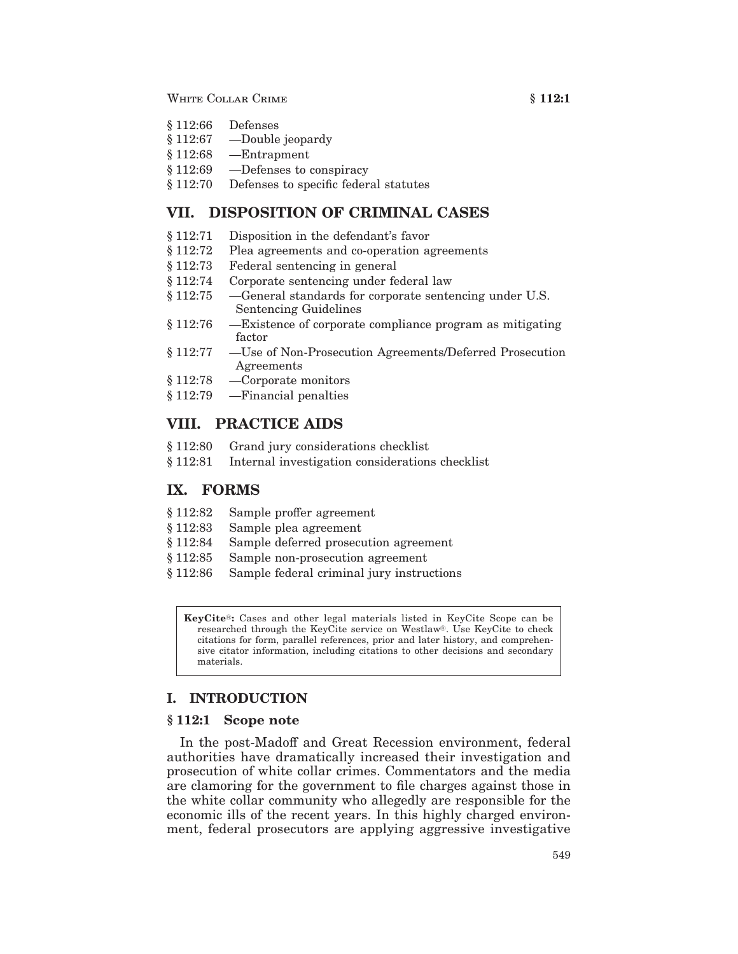### WHITE COLLAR CRIME

- § 112:66 Defenses
- $$112:67$ -Double jeopardy
- $-$ Entrapment  $$112:68$
- § 112:69 -Defenses to conspiracy
- \$112:70 Defenses to specific federal statutes

# VII. DISPOSITION OF CRIMINAL CASES

- $$112:71$ Disposition in the defendant's favor
- $$112:72$ Plea agreements and co-operation agreements
- § 112:73 Federal sentencing in general
- Corporate sentencing under federal law 8 112:74
- § 112:75 -General standards for corporate sentencing under U.S. Sentencing Guidelines
- -Existence of corporate compliance program as mitigating § 112:76 factor
- $§ 112:77$ —Use of Non-Prosecution Agreements/Deferred Prosecution Agreements
- $§ 112:78$ -Corporate monitors
- § 112:79 -Financial penalties

# VIII. PRACTICE AIDS

- § 112:80 Grand jury considerations checklist
- $§ 112:81$ Internal investigation considerations checklist

### IX. FORMS

- \$112:82 Sample proffer agreement
- \$112:83 Sample plea agreement
- Sample deferred prosecution agreement § 112:84
- § 112:85 Sample non-prosecution agreement
- $$112:86$ Sample federal criminal jury instructions

KeyCite®: Cases and other legal materials listed in KeyCite Scope can be researched through the KeyCite service on Westlaw®. Use KeyCite to check citations for form, parallel references, prior and later history, and comprehensive citator information, including citations to other decisions and secondary materials

# **I. INTRODUCTION**

### $§ 112:1$  Scope note

In the post-Madoff and Great Recession environment, federal authorities have dramatically increased their investigation and prosecution of white collar crimes. Commentators and the media are clamoring for the government to file charges against those in the white collar community who allegedly are responsible for the economic ills of the recent years. In this highly charged environment, federal prosecutors are applying aggressive investigative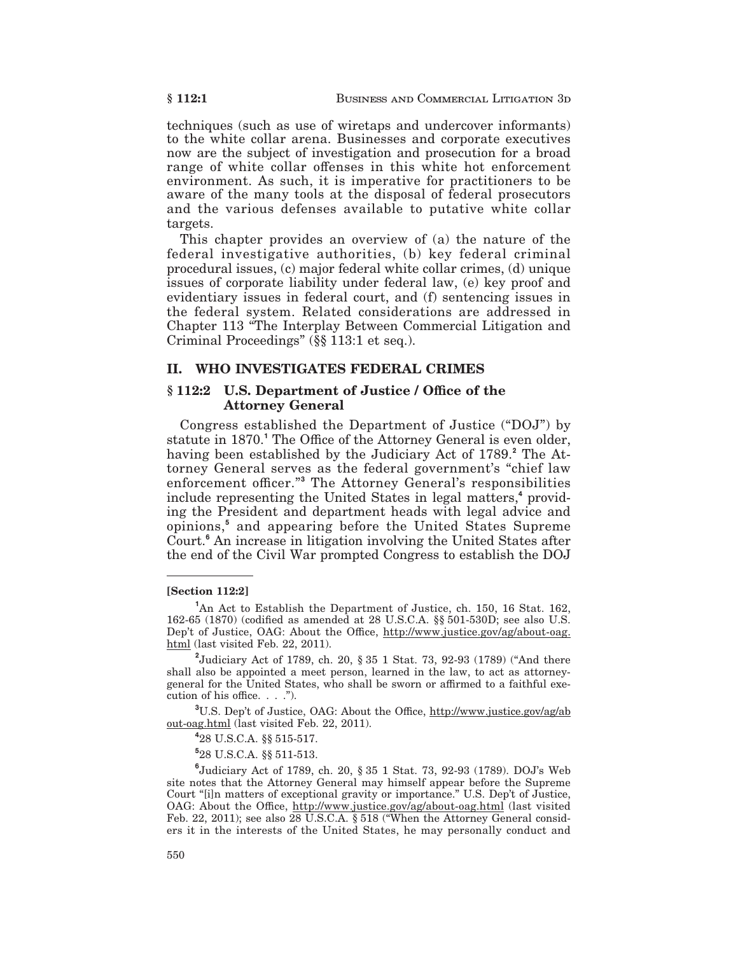techniques (such as use of wiretaps and undercover informants) to the white collar arena. Businesses and corporate executives now are the subject of investigation and prosecution for a broad range of white collar offenses in this white hot enforcement environment. As such, it is imperative for practitioners to be aware of the many tools at the disposal of federal prosecutors and the various defenses available to putative white collar targets.

This chapter provides an overview of (a) the nature of the federal investigative authorities, (b) key federal criminal procedural issues, (c) major federal white collar crimes, (d) unique issues of corporate liability under federal law, (e) key proof and evidentiary issues in federal court, and (f) sentencing issues in the federal system. Related considerations are addressed in Chapter 113 "The Interplay Between Commercial Litigation and Criminal Proceedings" (§§ 113:1 et seq.).

### II. WHO INVESTIGATES FEDERAL CRIMES

### § 112:2 U.S. Department of Justice / Office of the **Attorney General**

Congress established the Department of Justice ("DOJ") by statute in 1870.<sup>1</sup> The Office of the Attorney General is even older, having been established by the Judiciary Act of 1789.<sup>2</sup> The Attorney General serves as the federal government's "chief law enforcement officer."<sup>3</sup> The Attorney General's responsibilities include representing the United States in legal matters,<sup>4</sup> providing the President and department heads with legal advice and opinions,<sup>5</sup> and appearing before the United States Supreme Court.<sup>6</sup> An increase in litigation involving the United States after the end of the Civil War prompted Congress to establish the DOJ

#### [Section 112:2]

<sup>1</sup>An Act to Establish the Department of Justice, ch. 150, 16 Stat. 162, 162-65 (1870) (codified as amended at 28 U.S.C.A. §§ 501-530D; see also U.S. Dep't of Justice, OAG: About the Office, http://www.justice.gov/ag/about-oag. html (last visited Feb. 22, 2011).

<sup>2</sup>Judiciary Act of 1789, ch. 20, § 35 1 Stat. 73, 92-93 (1789) ("And there shall also be appointed a meet person, learned in the law, to act as attorneygeneral for the United States, who shall be sworn or affirmed to a faithful execution of his office.  $\ldots$  .").

<sup>3</sup>U.S. Dep't of Justice, OAG: About the Office, http://www.justice.gov/ag/ab out-oag.html (last visited Feb. 22, 2011).

<sup>4</sup>28 U.S.C.A. §§ 515-517.

<sup>5</sup>28 U.S.C.A. §§ 511-513.

 $^{6}$ Judiciary Act of 1789, ch. 20, § 35 1 Stat. 73, 92-93 (1789). DOJ's Web site notes that the Attorney General may himself appear before the Supreme Court "[i]n matters of exceptional gravity or importance." U.S. Dep't of Justice, OAG: About the Office, http://www.justice.gov/ag/about-oag.html (last visited Feb. 22, 2011); see also 28 U.S.C.A. § 518 ("When the Attorney General considers it in the interests of the United States, he may personally conduct and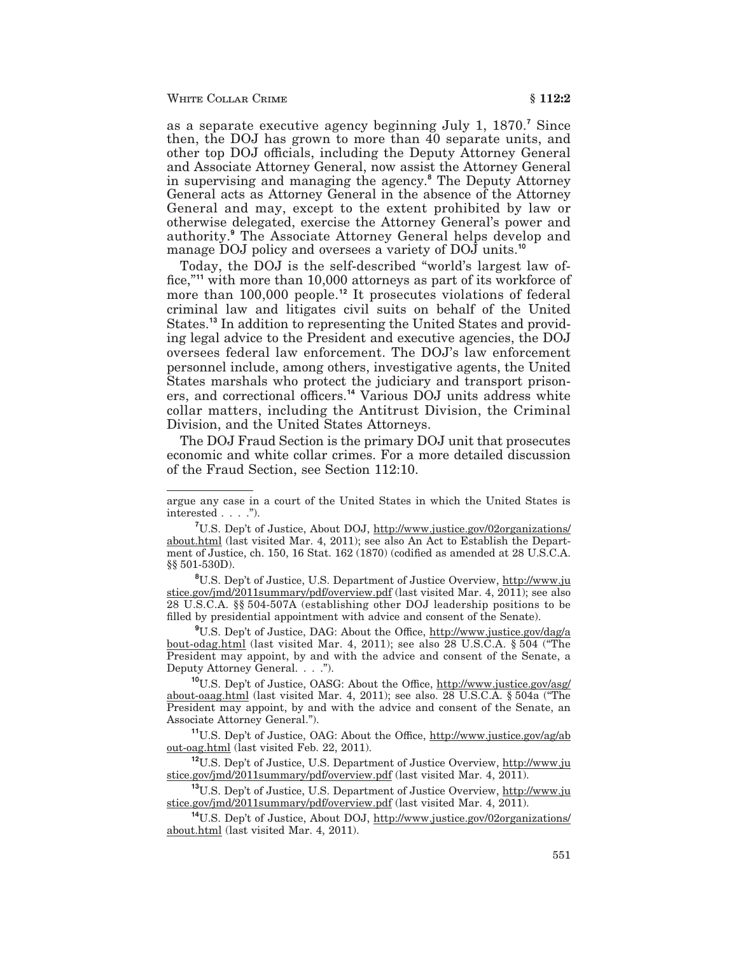as a separate executive agency beginning July 1, 1870.<sup>7</sup> Since then, the DOJ has grown to more than 40 separate units, and other top DOJ officials, including the Deputy Attorney General and Associate Attorney General, now assist the Attorney General in supervising and managing the agency.<sup>8</sup> The Deputy Attorney General acts as Attorney General in the absence of the Attorney General and may, except to the extent prohibited by law or otherwise delegated, exercise the Attorney General's power and authority.<sup>9</sup> The Associate Attorney General helps develop and manage DOJ policy and oversees a variety of DOJ units.<sup>10</sup>

Today, the DOJ is the self-described "world's largest law office,"<sup>11</sup> with more than 10,000 attorneys as part of its workforce of more than 100,000 people.<sup>12</sup> It prosecutes violations of federal criminal law and litigates civil suits on behalf of the United States.<sup>13</sup> In addition to representing the United States and providing legal advice to the President and executive agencies, the DOJ oversees federal law enforcement. The DOJ's law enforcement personnel include, among others, investigative agents, the United States marshals who protect the judiciary and transport prisoners, and correctional officers.<sup>14</sup> Various DOJ units address white collar matters, including the Antitrust Division, the Criminal Division, and the United States Attorneys.

The DOJ Fraud Section is the primary DOJ unit that prosecutes economic and white collar crimes. For a more detailed discussion of the Fraud Section, see Section 112:10.

<sup>8</sup>U.S. Dep't of Justice, U.S. Department of Justice Overview, http://www.ju stice.gov/jmd/2011summary/pdf/overview.pdf (last visited Mar. 4, 2011); see also 28 U.S.C.A. §§ 504-507A (establishing other DOJ leadership positions to be filled by presidential appointment with advice and consent of the Senate).

<sup>9</sup>U.S. Dep't of Justice, DAG: About the Office, http://www.justice.gov/dag/a bout-odag.html (last visited Mar. 4, 2011); see also 28 U.S.C.A. § 504 ("The President may appoint, by and with the advice and consent of the Senate, a Deputy Attorney General. . . .").

<sup>10</sup>U.S. Dep't of Justice, OASG: About the Office, http://www.justice.gov/asg/ about-oaag.html (last visited Mar. 4, 2011); see also. 28 U.S.C.A. § 504a ("The President may appoint, by and with the advice and consent of the Senate, an Associate Attorney General.").

<sup>11</sup>U.S. Dep't of Justice, OAG: About the Office, http://www.justice.gov/ag/ab out-oag.html (last visited Feb. 22, 2011).

<sup>12</sup>U.S. Dep't of Justice, U.S. Department of Justice Overview, http://www.ju stice.gov/jmd/2011summary/pdf/overview.pdf (last visited Mar. 4, 2011).

<sup>13</sup>U.S. Dep't of Justice, U.S. Department of Justice Overview, http://www.ju stice.gov/jmd/2011summary/pdf/overview.pdf (last visited Mar. 4, 2011).

<sup>14</sup>U.S. Dep't of Justice, About DOJ, http://www.justice.gov/02organizations/ about.html (last visited Mar. 4, 2011).

argue any case in a court of the United States in which the United States is interested  $\ldots$  .").

<sup>&</sup>lt;sup>7</sup>U.S. Dep't of Justice, About DOJ, http://www.justice.gov/02organizations/ about.html (last visited Mar. 4, 2011); see also An Act to Establish the Department of Justice, ch. 150, 16 Stat. 162 (1870) (codified as amended at 28 U.S.C.A. §§ 501-530D).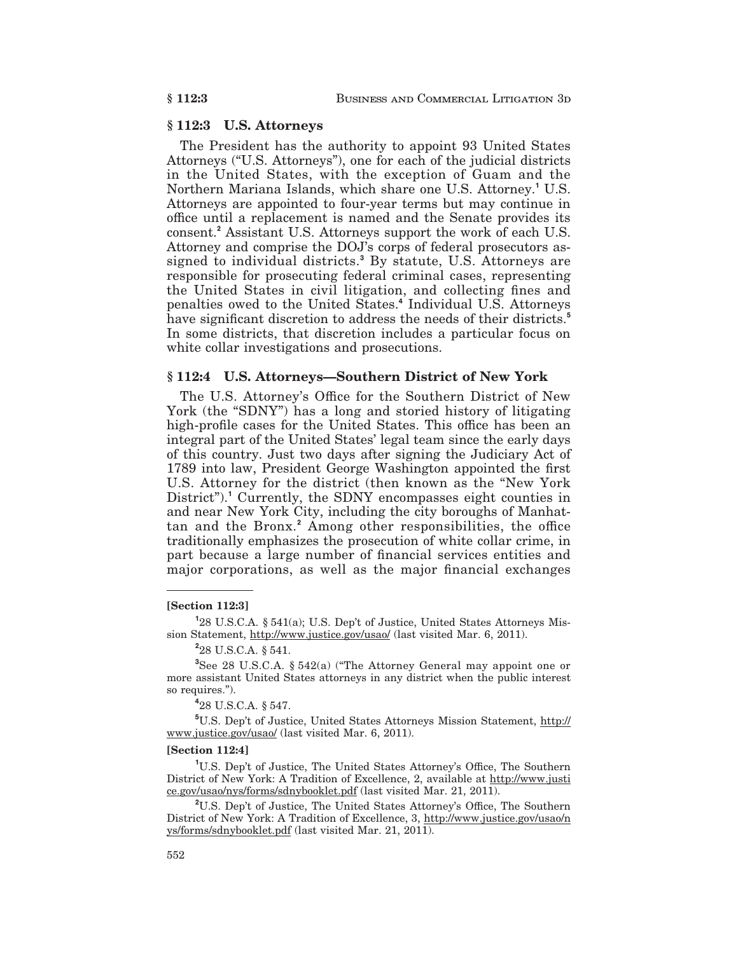### §112:3 U.S. Attorneys

The President has the authority to appoint 93 United States Attorneys ("U.S. Attorneys"), one for each of the judicial districts in the United States, with the exception of Guam and the Northern Mariana Islands, which share one U.S. Attorney.<sup>1</sup> U.S. Attorneys are appointed to four-year terms but may continue in office until a replacement is named and the Senate provides its consent.<sup>2</sup> Assistant U.S. Attorneys support the work of each U.S. Attorney and comprise the DOJ's corps of federal prosecutors assigned to individual districts.<sup>3</sup> By statute, U.S. Attorneys are responsible for prosecuting federal criminal cases, representing the United States in civil litigation, and collecting fines and penalties owed to the United States.<sup>4</sup> Individual U.S. Attorneys have significant discretion to address the needs of their districts.<sup>5</sup> In some districts, that discretion includes a particular focus on white collar investigations and prosecutions.

## § 112:4 U.S. Attorneys-Southern District of New York

The U.S. Attorney's Office for the Southern District of New York (the "SDNY") has a long and storied history of litigating high-profile cases for the United States. This office has been an integral part of the United States' legal team since the early days of this country. Just two days after signing the Judiciary Act of 1789 into law, President George Washington appointed the first U.S. Attorney for the district (then known as the "New York District").<sup>1</sup> Currently, the SDNY encompasses eight counties in and near New York City, including the city boroughs of Manhattan and the Bronx.<sup>2</sup> Among other responsibilities, the office traditionally emphasizes the prosecution of white collar crime, in part because a large number of financial services entities and major corporations, as well as the major financial exchanges

#### $[Section 112:3]$

<sup>1</sup>28 U.S.C.A. § 541(a); U.S. Dep't of Justice, United States Attorneys Mission Statement, http://www.justice.gov/usao/ (last visited Mar. 6, 2011).

 $28$  U.S.C.A. § 541.

 ${}^{3}$ See 28 U.S.C.A. § 542(a) ("The Attorney General may appoint one or more assistant United States attorneys in any district when the public interest so requires.").

<sup>4</sup>28 U.S.C.A. § 547.

<sup>5</sup>U.S. Dep't of Justice, United States Attorneys Mission Statement, http:// www.justice.gov/usao/ (last visited Mar. 6, 2011).

#### [Section 112:4]

<sup>1</sup>U.S. Dep't of Justice, The United States Attorney's Office, The Southern District of New York: A Tradition of Excellence, 2, available at http://www.justi ce.gov/usao/nys/forms/sdnybooklet.pdf (last visited Mar. 21, 2011).

<sup>2</sup>U.S. Dep't of Justice, The United States Attorney's Office, The Southern District of New York: A Tradition of Excellence, 3, http://www.justice.gov/usao/n ys/forms/sdnybooklet.pdf (last visited Mar. 21, 2011).

### § 112:3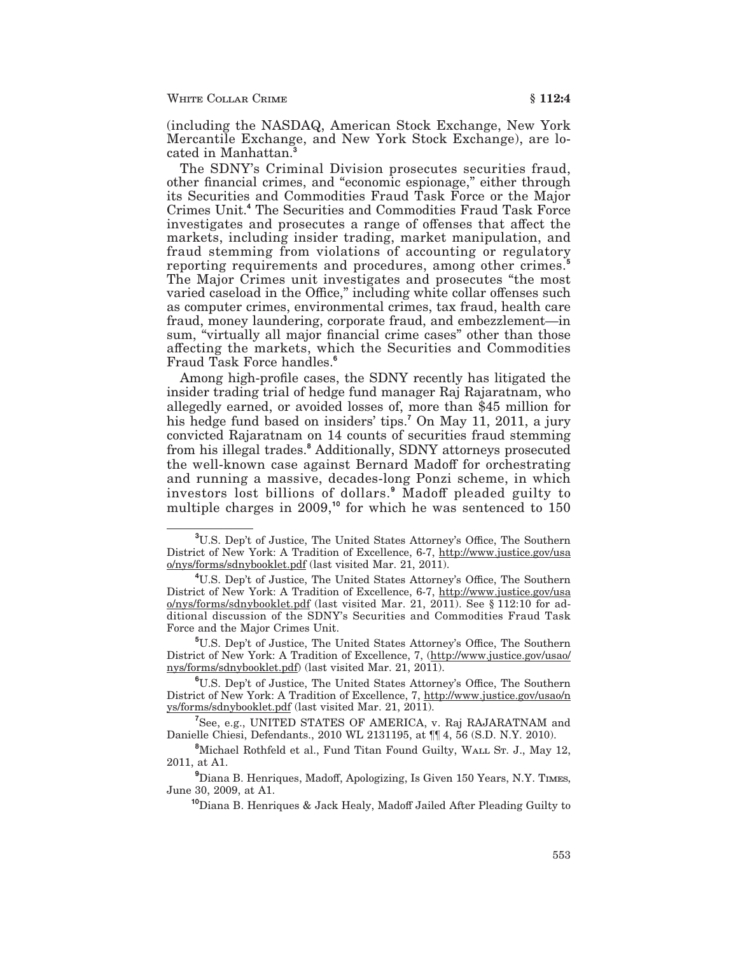(including the NASDAQ, American Stock Exchange, New York Mercantile Exchange, and New York Stock Exchange), are located in Manhattan.

The SDNY's Criminal Division prosecutes securities fraud, other financial crimes, and "economic espionage," either through its Securities and Commodities Fraud Task Force or the Major Crimes Unit.<sup>4</sup> The Securities and Commodities Fraud Task Force investigates and prosecutes a range of offenses that affect the markets, including insider trading, market manipulation, and fraud stemming from violations of accounting or regulatory reporting requirements and procedures, among other crimes.<sup>5</sup> The Major Crimes unit investigates and prosecutes "the most varied caseload in the Office," including white collar offenses such as computer crimes, environmental crimes, tax fraud, health care fraud, money laundering, corporate fraud, and embezzlement—in sum, "virtually all major financial crime cases" other than those affecting the markets, which the Securities and Commodities Fraud Task Force handles.<sup>6</sup>

Among high-profile cases, the SDNY recently has litigated the insider trading trial of hedge fund manager Raj Rajaratnam, who allegedly earned, or avoided losses of, more than \$45 million for his hedge fund based on insiders' tips.<sup>7</sup> On May 11, 2011, a jury convicted Rajaratnam on 14 counts of securities fraud stemming from his illegal trades.<sup>8</sup> Additionally, SDNY attorneys prosecuted the well-known case against Bernard Madoff for orchestrating and running a massive, decades-long Ponzi scheme, in which investors lost billions of dollars.<sup>9</sup> Madoff pleaded guilty to multiple charges in  $2009$ ,<sup>10</sup> for which he was sentenced to  $150$ 

<sup>&</sup>lt;sup>3</sup>U.S. Dep't of Justice, The United States Attorney's Office, The Southern District of New York: A Tradition of Excellence, 6-7, http://www.justice.gov/usa o/nys/forms/sdnybooklet.pdf (last visited Mar. 21, 2011).

<sup>&</sup>lt;sup>4</sup>U.S. Dep't of Justice, The United States Attorney's Office, The Southern District of New York: A Tradition of Excellence, 6-7, http://www.justice.gov/usa o/nys/forms/sdnybooklet.pdf (last visited Mar. 21, 2011). See § 112:10 for additional discussion of the SDNY's Securities and Commodities Fraud Task Force and the Major Crimes Unit.

<sup>&</sup>lt;sup>5</sup>U.S. Dep't of Justice, The United States Attorney's Office, The Southern District of New York: A Tradition of Excellence, 7, (http://www.justice.gov/usao/ nys/forms/sdnybooklet.pdf) (last visited Mar. 21, 2011).

<sup>&</sup>lt;sup>6</sup>U.S. Dep't of Justice, The United States Attorney's Office, The Southern District of New York: A Tradition of Excellence, 7, http://www.justice.gov/usao/n ys/forms/sdnybooklet.pdf (last visited Mar. 21, 2011).

<sup>&</sup>lt;sup>7</sup>See, e.g., UNITED STATES OF AMERICA, v. Raj RAJARATNAM and Danielle Chiesi, Defendants., 2010 WL 2131195, at ¶[ 4, 56 (S.D. N.Y. 2010).

<sup>&</sup>lt;sup>8</sup>Michael Rothfeld et al., Fund Titan Found Guilty, WALL ST. J., May 12, 2011, at A1.

<sup>&</sup>lt;sup>9</sup>Diana B. Henriques, Madoff, Apologizing, Is Given 150 Years, N.Y. TIMES, June 30, 2009, at A1.

<sup>&</sup>lt;sup>10</sup>Diana B. Henriques & Jack Healy, Madoff Jailed After Pleading Guilty to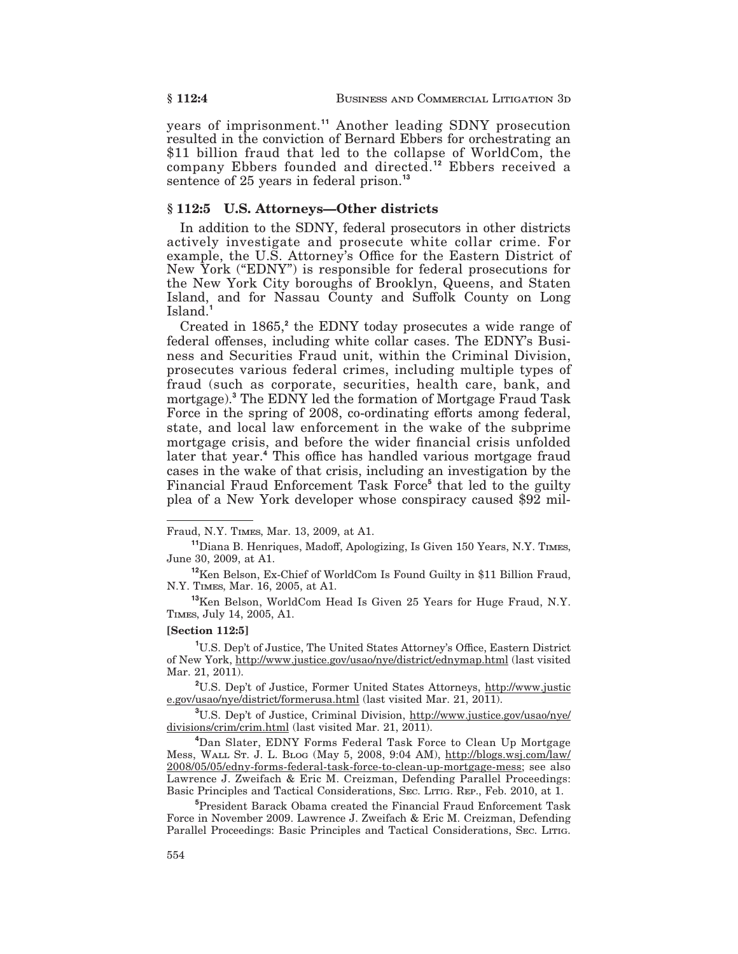years of imprisonment.<sup>11</sup> Another leading SDNY prosecution resulted in the conviction of Bernard Ebbers for orchestrating an \$11 billion fraud that led to the collapse of WorldCom, the company Ebbers founded and directed.<sup>12</sup> Ebbers received a sentence of 25 years in federal prison.<sup>13</sup>

### $§ 112:5$  U.S. Attorneys—Other districts

In addition to the SDNY, federal prosecutors in other districts actively investigate and prosecute white collar crime. For example, the U.S. Attorney's Office for the Eastern District of New York ("EDNY") is responsible for federal prosecutions for the New York City boroughs of Brooklyn, Queens, and Staten Island, and for Nassau County and Suffolk County on Long Island.<sup>1</sup>

Created in 1865,<sup>2</sup> the EDNY today prosecutes a wide range of federal offenses, including white collar cases. The EDNY's Business and Securities Fraud unit, within the Criminal Division, prosecutes various federal crimes, including multiple types of fraud (such as corporate, securities, health care, bank, and mortgage).<sup>3</sup> The EDNY led the formation of Mortgage Fraud Task Force in the spring of 2008, co-ordinating efforts among federal, state, and local law enforcement in the wake of the subprime mortgage crisis, and before the wider financial crisis unfolded later that year.<sup>4</sup> This office has handled various mortgage fraud cases in the wake of that crisis, including an investigation by the Financial Fraud Enforcement Task Force<sup>5</sup> that led to the guilty plea of a New York developer whose conspiracy caused \$92 mil-

<sup>11</sup>Diana B. Henriques, Madoff, Apologizing, Is Given 150 Years, N.Y. TIMES, June 30, 2009, at A1.

<sup>13</sup>Ken Belson, WorldCom Head Is Given 25 Years for Huge Fraud, N.Y. TIMES, July 14, 2005, A1.

#### [Section 112:5]

<sup>1</sup>U.S. Dep't of Justice, The United States Attorney's Office, Eastern District of New York, http://www.justice.gov/usao/nye/district/ednymap.html (last visited Mar. 21, 2011).

<sup>2</sup>U.S. Dep't of Justice, Former United States Attorneys, http://www.justic e.gov/usao/nye/district/formerusa.html (last visited Mar. 21, 2011).

<sup>3</sup>U.S. Dep't of Justice, Criminal Division, http://www.justice.gov/usao/nye/ divisions/crim/crim.html (last visited Mar. 21, 2011).

<sup>4</sup>Dan Slater, EDNY Forms Federal Task Force to Clean Up Mortgage Mess, WALL ST. J. L. BLOG (May 5, 2008, 9:04 AM), http://blogs.wsj.com/law/ 2008/05/05/edny-forms-federal-task-force-to-clean-up-mortgage-mess; see also Lawrence J. Zweifach & Eric M. Creizman, Defending Parallel Proceedings: Basic Principles and Tactical Considerations, SEC. LITIG. REP., Feb. 2010, at 1.

<sup>5</sup>President Barack Obama created the Financial Fraud Enforcement Task Force in November 2009. Lawrence J. Zweifach & Eric M. Creizman, Defending Parallel Proceedings: Basic Principles and Tactical Considerations, SEC. LITIG.

Fraud, N.Y. TIMES, Mar. 13, 2009, at A1.

<sup>&</sup>lt;sup>12</sup>Ken Belson, Ex-Chief of WorldCom Is Found Guilty in \$11 Billion Fraud, N.Y. TIMES, Mar. 16, 2005, at A1.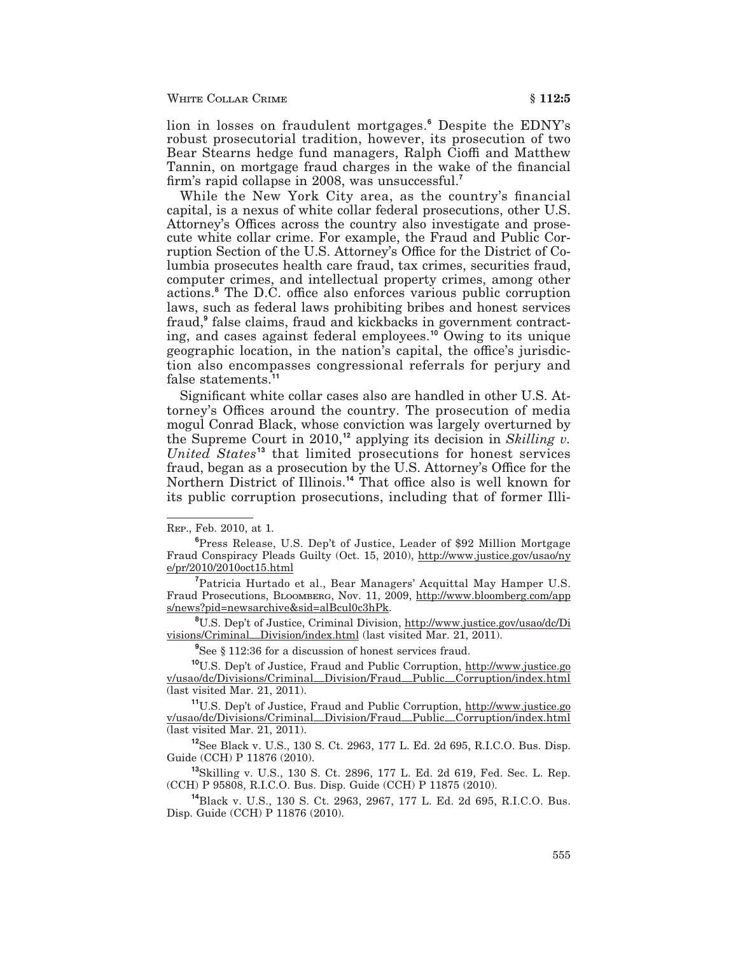lion in losses on fraudulent mortgages.<sup>6</sup> Despite the EDNY's robust prosecutorial tradition, however, its prosecution of two Bear Stearns hedge fund managers, Ralph Cioffi and Matthew Tannin, on mortgage fraud charges in the wake of the financial firm's rapid collapse in 2008, was unsuccessful.

While the New York City area, as the country's financial capital, is a nexus of white collar federal prosecutions, other U.S. Attorney's Offices across the country also investigate and prosecute white collar crime. For example, the Fraud and Public Corruption Section of the U.S. Attorney's Office for the District of Columbia prosecutes health care fraud, tax crimes, securities fraud, computer crimes, and intellectual property crimes, among other actions.<sup>8</sup> The D.C. office also enforces various public corruption laws, such as federal laws prohibiting bribes and honest services fraud,<sup>9</sup> false claims, fraud and kickbacks in government contracting, and cases against federal employees.<sup>10</sup> Owing to its unique geographic location, in the nation's capital, the office's jurisdiction also encompasses congressional referrals for perjury and false statements.<sup>11</sup>

Significant white collar cases also are handled in other U.S. Attorney's Offices around the country. The prosecution of media mogul Conrad Black, whose conviction was largely overturned by the Supreme Court in 2010,<sup>12</sup> applying its decision in Skilling v. United States<sup>13</sup> that limited prosecutions for honest services fraud, began as a prosecution by the U.S. Attorney's Office for the Northern District of Illinois.<sup>14</sup> That office also is well known for its public corruption prosecutions, including that of former Illi-

<sup>8</sup>U.S. Den't of Justice, Criminal Division, http://www.justice.gov/usao/dc/Di visions/Criminal\_Division/index.html (last visited Mar. 21, 2011).

<sup>9</sup>See § 112:36 for a discussion of honest services fraud.

<sup>10</sup>U.S. Dep't of Justice, Fraud and Public Corruption, http://www.justice.go v/usao/dc/Divisions/Criminal\_Division/Fraud\_Public\_Corruption/index.html (last visited Mar. 21, 2011).

<sup>11</sup>U.S. Dep't of Justice, Fraud and Public Corruption, http://www.justice.go v/usao/dc/Divisions/Criminal\_Division/Fraud\_Public\_Corruption/index.html (last visited Mar. 21, 2011).

<sup>12</sup>See Black v. U.S., 130 S. Ct. 2963, 177 L. Ed. 2d 695, R.I.C.O. Bus. Disp. Guide (CCH) P 11876 (2010).

<sup>13</sup>Skilling v. U.S., 130 S. Ct. 2896, 177 L. Ed. 2d 619, Fed. Sec. L. Rep. (CCH) P 95808, R.I.C.O. Bus. Disp. Guide (CCH) P 11875 (2010).

<sup>14</sup>Black v. U.S., 130 S. Ct. 2963, 2967, 177 L. Ed. 2d 695, R.I.C.O. Bus. Disp. Guide (CCH) P 11876 (2010).

REP., Feb. 2010, at 1.

<sup>&</sup>lt;sup>6</sup>Press Release, U.S. Dep't of Justice, Leader of \$92 Million Mortgage Fraud Conspiracy Pleads Guilty (Oct. 15, 2010), http://www.justice.gov/usao/ny e/pr/2010/2010oct15.html

<sup>&</sup>lt;sup>7</sup>Patricia Hurtado et al., Bear Managers' Acquittal May Hamper U.S. Fraud Prosecutions, BLOOMBERG, Nov. 11, 2009, http://www.bloomberg.com/app s/news?pid=newsarchive&sid=alBcul0c3hPk.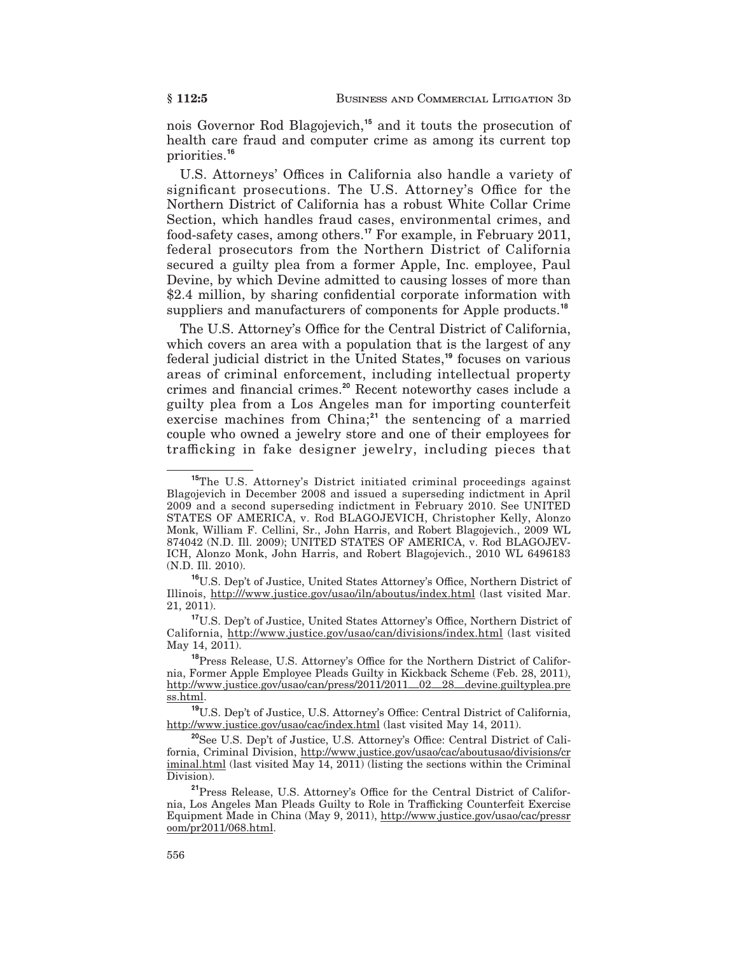nois Governor Rod Blagojevich,<sup>15</sup> and it touts the prosecution of health care fraud and computer crime as among its current top priorities.<sup>16</sup>

U.S. Attorneys' Offices in California also handle a variety of significant prosecutions. The U.S. Attorney's Office for the Northern District of California has a robust White Collar Crime Section, which handles fraud cases, environmental crimes, and food-safety cases, among others.<sup>17</sup> For example, in February 2011, federal prosecutors from the Northern District of California secured a guilty plea from a former Apple, Inc. employee, Paul Devine, by which Devine admitted to causing losses of more than \$2.4 million, by sharing confidential corporate information with suppliers and manufacturers of components for Apple products.<sup>18</sup>

The U.S. Attorney's Office for the Central District of California, which covers an area with a population that is the largest of any federal judicial district in the United States,<sup>19</sup> focuses on various areas of criminal enforcement, including intellectual property crimes and financial crimes.<sup>20</sup> Recent noteworthy cases include a guilty plea from a Los Angeles man for importing counterfeit exercise machines from China;<sup>21</sup> the sentencing of a married couple who owned a jewelry store and one of their employees for trafficking in fake designer jewelry, including pieces that

<sup>&</sup>lt;sup>15</sup>The U.S. Attorney's District initiated criminal proceedings against Blagoievich in December 2008 and issued a superseding indictment in April 2009 and a second superseding indictment in February 2010. See UNITED STATES OF AMERICA, v. Rod BLAGOJEVICH, Christopher Kelly, Alonzo Monk, William F. Cellini, Sr., John Harris, and Robert Blagojevich., 2009 WL 874042 (N.D. Ill. 2009); UNITED STATES OF AMERICA, v. Rod BLAGOJEV-ICH, Alonzo Monk, John Harris, and Robert Blagojevich., 2010 WL 6496183 (N.D. Ill. 2010).

<sup>&</sup>lt;sup>16</sup>U.S. Dep't of Justice, United States Attorney's Office, Northern District of Illinois, http:///www.justice.gov/usao/iln/aboutus/index.html (last visited Mar. 21, 2011).

<sup>&</sup>lt;sup>17</sup>U.S. Dep't of Justice, United States Attorney's Office, Northern District of California, http://www.justice.gov/usao/can/divisions/index.html (last visited May 14, 2011).

<sup>&</sup>lt;sup>18</sup>Press Release, U.S. Attorney's Office for the Northern District of California, Former Apple Employee Pleads Guilty in Kickback Scheme (Feb. 28, 2011), http://www.justice.gov/usao/can/press/2011/2011\_02\_28\_devine.guiltyplea.pre ss.html.

<sup>&</sup>lt;sup>19</sup>U.S. Dep't of Justice, U.S. Attorney's Office: Central District of California, http://www.justice.gov/usao/cac/index.html (last visited May 14, 2011).

<sup>&</sup>lt;sup>20</sup>See U.S. Dep't of Justice, U.S. Attorney's Office: Central District of California, Criminal Division, http://www.justice.gov/usao/cac/aboutusao/divisions/cr iminal.html (last visited May 14, 2011) (listing the sections within the Criminal Division).

<sup>&</sup>lt;sup>21</sup>Press Release, U.S. Attorney's Office for the Central District of California, Los Angeles Man Pleads Guilty to Role in Trafficking Counterfeit Exercise Equipment Made in China (May 9, 2011), http://www.justice.gov/usao/cac/pressr oom/pr2011/068.html.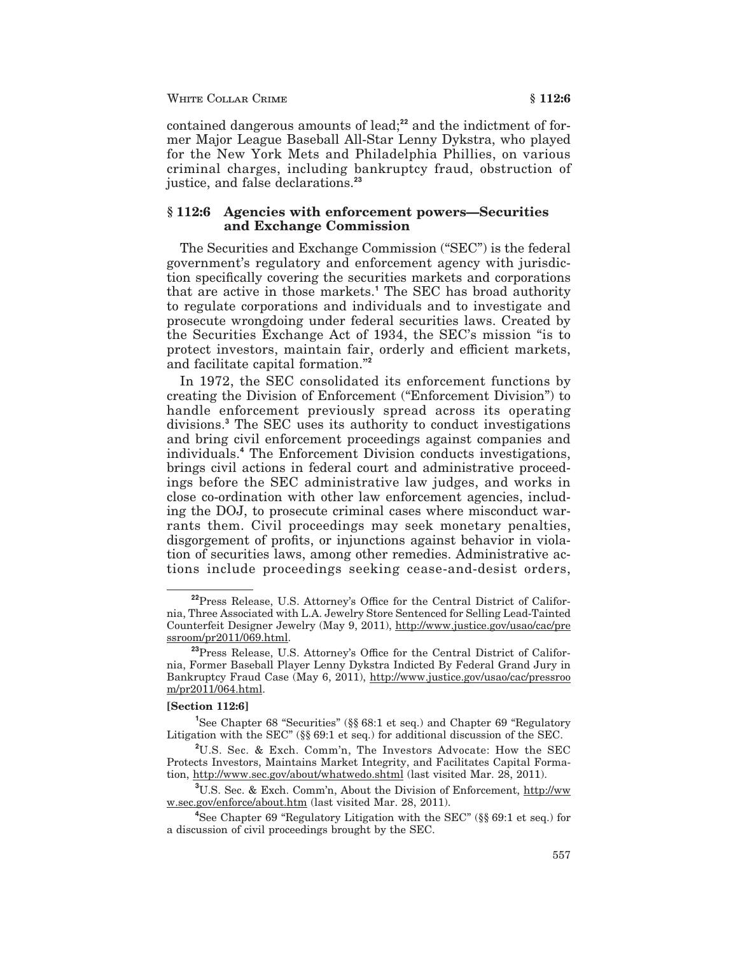contained dangerous amounts of lead;<sup>22</sup> and the indictment of former Major League Baseball All-Star Lenny Dykstra, who played for the New York Mets and Philadelphia Phillies, on various criminal charges, including bankruptcy fraud, obstruction of justice, and false declarations.<sup>23</sup>

### §112:6 Agencies with enforcement powers—Securities and Exchange Commission

The Securities and Exchange Commission ("SEC") is the federal government's regulatory and enforcement agency with jurisdiction specifically covering the securities markets and corporations that are active in those markets.<sup>1</sup> The SEC has broad authority to regulate corporations and individuals and to investigate and prosecute wrongdoing under federal securities laws. Created by the Securities Exchange Act of 1934, the SEC's mission "is to protect investors, maintain fair, orderly and efficient markets, and facilitate capital formation."2

In 1972, the SEC consolidated its enforcement functions by creating the Division of Enforcement ("Enforcement Division") to handle enforcement previously spread across its operating divisions.<sup>3</sup> The SEC uses its authority to conduct investigations and bring civil enforcement proceedings against companies and individuals.<sup>4</sup> The Enforcement Division conducts investigations, brings civil actions in federal court and administrative proceedings before the SEC administrative law judges, and works in close co-ordination with other law enforcement agencies, including the DOJ, to prosecute criminal cases where misconduct warrants them. Civil proceedings may seek monetary penalties, disgorgement of profits, or injunctions against behavior in violation of securities laws, among other remedies. Administrative actions include proceedings seeking cease-and-desist orders,

#### $[Section 112:6]$

<sup>&</sup>lt;sup>22</sup>Press Release, U.S. Attorney's Office for the Central District of California, Three Associated with L.A. Jewelry Store Sentenced for Selling Lead-Tainted Counterfeit Designer Jewelry (May 9, 2011), http://www.justice.gov/usao/cac/pre ssroom/pr2011/069.html.

<sup>&</sup>lt;sup>23</sup>Press Release, U.S. Attorney's Office for the Central District of California, Former Baseball Player Lenny Dykstra Indicted By Federal Grand Jury in Bankruptcy Fraud Case (May 6, 2011), http://www.justice.gov/usao/cac/pressroo m/pr2011/064.html.

<sup>&</sup>lt;sup>1</sup>See Chapter 68 "Securities" (§§ 68:1 et seq.) and Chapter 69 "Regulatory Litigation with the SEC" (§§ 69:1 et seq.) for additional discussion of the SEC.

<sup>&</sup>lt;sup>2</sup>U.S. Sec. & Exch. Comm'n, The Investors Advocate: How the SEC Protects Investors, Maintains Market Integrity, and Facilitates Capital Formation, http://www.sec.gov/about/whatwedo.shtml (last visited Mar. 28, 2011).

<sup>&</sup>lt;sup>3</sup>U.S. Sec. & Exch. Comm'n, About the Division of Enforcement, http://ww w.sec.gov/enforce/about.htm (last visited Mar. 28, 2011).

<sup>&</sup>lt;sup>4</sup>See Chapter 69 "Regulatory Litigation with the SEC" ( $\S$  $\S$  69:1 et seq.) for a discussion of civil proceedings brought by the SEC.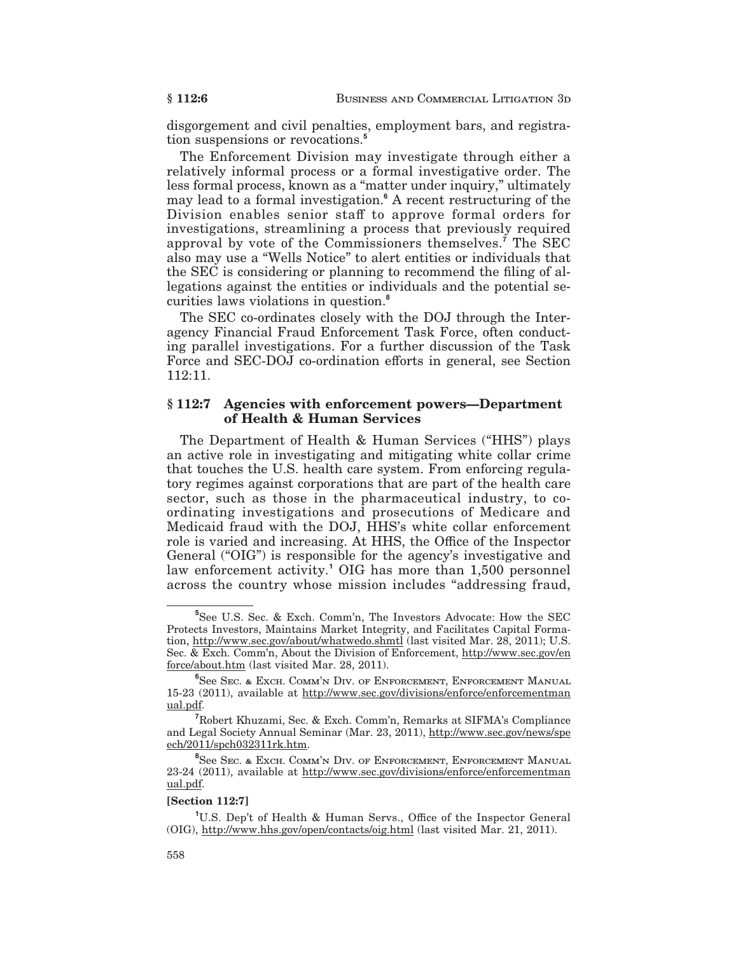disgorgement and civil penalties, employment bars, and registration suspensions or revocations.<sup>5</sup>

The Enforcement Division may investigate through either a relatively informal process or a formal investigative order. The less formal process, known as a "matter under inquiry," ultimately may lead to a formal investigation.<sup>6</sup> A recent restructuring of the Division enables senior staff to approve formal orders for investigations, streamlining a process that previously required approval by vote of the Commissioners themselves.<sup>7</sup> The SEC also may use a "Wells Notice" to alert entities or individuals that the SEC is considering or planning to recommend the filing of allegations against the entities or individuals and the potential securities laws violations in question.<sup>8</sup>

The SEC co-ordinates closely with the DOJ through the Interagency Financial Fraud Enforcement Task Force, often conducting parallel investigations. For a further discussion of the Task Force and SEC-DOJ co-ordination efforts in general, see Section 112:11.

#### $$112:7$ **Agencies with enforcement powers-Department** of Health & Human Services

The Department of Health & Human Services ("HHS") plays an active role in investigating and mitigating white collar crime that touches the U.S. health care system. From enforcing regulatory regimes against corporations that are part of the health care sector, such as those in the pharmaceutical industry, to coordinating investigations and prosecutions of Medicare and Medicaid fraud with the DOJ, HHS's white collar enforcement role is varied and increasing. At HHS, the Office of the Inspector General ("OIG") is responsible for the agency's investigative and law enforcement activity.<sup>1</sup> OIG has more than 1,500 personnel across the country whose mission includes "addressing fraud,

#### [Section 112:7]

<sup>&</sup>lt;sup>5</sup>See U.S. Sec. & Exch. Comm'n, The Investors Advocate: How the SEC Protects Investors, Maintains Market Integrity, and Facilitates Capital Formation, http://www.sec.gov/about/whatwedo.shmtl (last visited Mar. 28, 2011); U.S. Sec. & Exch. Comm'n, About the Division of Enforcement, http://www.sec.gov/en force/about.htm (last visited Mar. 28, 2011).

<sup>&</sup>lt;sup>6</sup>See Sec. & Exch. Comm'n Div. of Enforcement, Enforcement Manual 15-23 (2011), available at http://www.sec.gov/divisions/enforce/enforcementman ual.pdf.

Robert Khuzami, Sec. & Exch. Comm'n, Remarks at SIFMA's Compliance and Legal Society Annual Seminar (Mar. 23, 2011), http://www.sec.gov/news/spe ech/2011/spch032311rk.htm.

<sup>&</sup>lt;sup>8</sup>See Sec. & Exch. COMM'N DIV. OF ENFORCEMENT, ENFORCEMENT MANUAL 23-24 (2011), available at http://www.sec.gov/divisions/enforce/enforcementman ual.pdf.

<sup>&</sup>lt;sup>1</sup>U.S. Dep't of Health & Human Servs., Office of the Inspector General (OIG), http://www.hhs.gov/open/contacts/oig.html (last visited Mar. 21, 2011).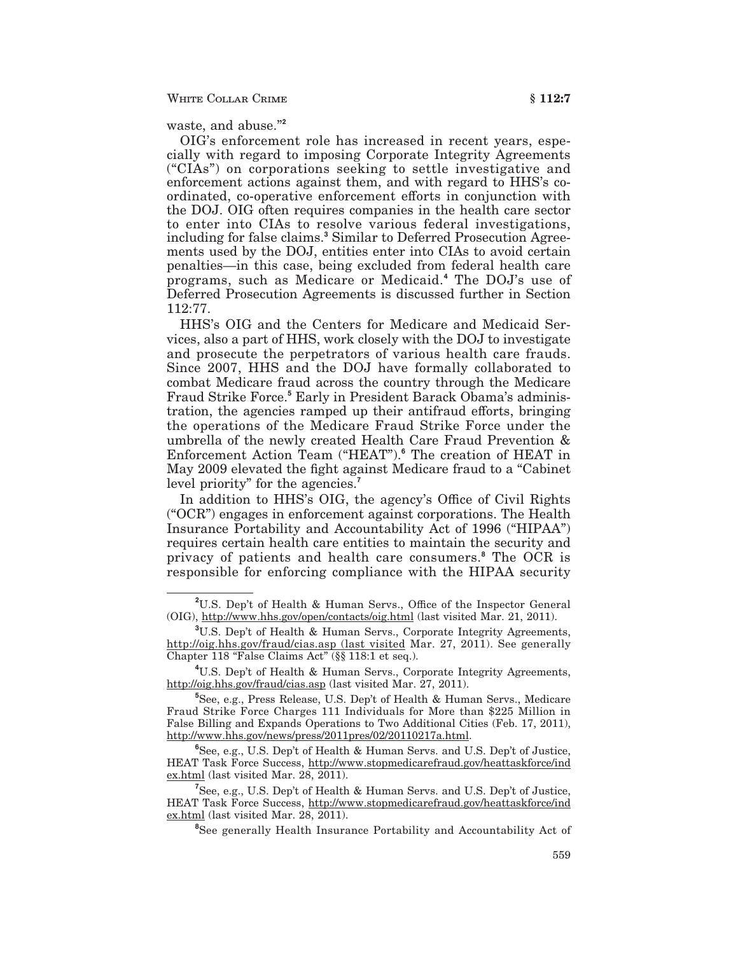waste, and abuse."2

OIG's enforcement role has increased in recent years, especially with regard to imposing Corporate Integrity Agreements ("CIAs") on corporations seeking to settle investigative and enforcement actions against them, and with regard to HHS's coordinated, co-operative enforcement efforts in conjunction with the DOJ. OIG often requires companies in the health care sector to enter into CIAs to resolve various federal investigations, including for false claims.<sup>3</sup> Similar to Deferred Prosecution Agreements used by the DOJ, entities enter into CIAs to avoid certain penalties—in this case, being excluded from federal health care programs, such as Medicare or Medicaid.<sup>4</sup> The DOJ's use of Deferred Prosecution Agreements is discussed further in Section 112:77.

HHS's OIG and the Centers for Medicare and Medicaid Services, also a part of HHS, work closely with the DOJ to investigate and prosecute the perpetrators of various health care frauds. Since 2007, HHS and the DOJ have formally collaborated to combat Medicare fraud across the country through the Medicare Fraud Strike Force.<sup>5</sup> Early in President Barack Obama's administration, the agencies ramped up their antifraud efforts, bringing the operations of the Medicare Fraud Strike Force under the umbrella of the newly created Health Care Fraud Prevention & Enforcement Action Team ("HEAT").<sup>6</sup> The creation of HEAT in May 2009 elevated the fight against Medicare fraud to a "Cabinet" level priority" for the agencies.<sup>7</sup>

In addition to HHS's OIG, the agency's Office of Civil Rights ("OCR") engages in enforcement against corporations. The Health Insurance Portability and Accountability Act of 1996 ("HIPAA") requires certain health care entities to maintain the security and privacy of patients and health care consumers.<sup>8</sup> The OCR is responsible for enforcing compliance with the HIPAA security

<sup>&</sup>lt;sup>2</sup>U.S. Dep't of Health & Human Servs., Office of the Inspector General (OIG), http://www.hhs.gov/open/contacts/oig.html (last visited Mar. 21, 2011).

<sup>&</sup>lt;sup>3</sup>U.S. Dep't of Health & Human Servs., Corporate Integrity Agreements, http://oig.hhs.gov/fraud/cias.asp (last visited Mar. 27, 2011). See generally Chapter 118 "False Claims Act" (§§ 118:1 et seq.).

<sup>&</sup>lt;sup>4</sup>U.S. Dep't of Health & Human Servs., Corporate Integrity Agreements, http://oig.hhs.gov/fraud/cias.asp (last visited Mar. 27, 2011).

<sup>&</sup>lt;sup>5</sup>See, e.g., Press Release, U.S. Dep't of Health & Human Servs., Medicare Fraud Strike Force Charges 111 Individuals for More than \$225 Million in False Billing and Expands Operations to Two Additional Cities (Feb. 17, 2011), http://www.hhs.gov/news/press/2011pres/02/20110217a.html.

<sup>&</sup>lt;sup>6</sup>See, e.g., U.S. Dep't of Health & Human Servs. and U.S. Dep't of Justice, HEAT Task Force Success, http://www.stopmedicarefraud.gov/heattaskforce/ind ex.html (last visited Mar. 28, 2011).

<sup>&</sup>lt;sup>7</sup>See, e.g., U.S. Dep't of Health & Human Servs. and U.S. Dep't of Justice, HEAT Task Force Success, http://www.stopmedicarefraud.gov/heattaskforce/ind  $ex.html$  (last visited Mar. 28, 2011).

<sup>&</sup>lt;sup>8</sup>See generally Health Insurance Portability and Accountability Act of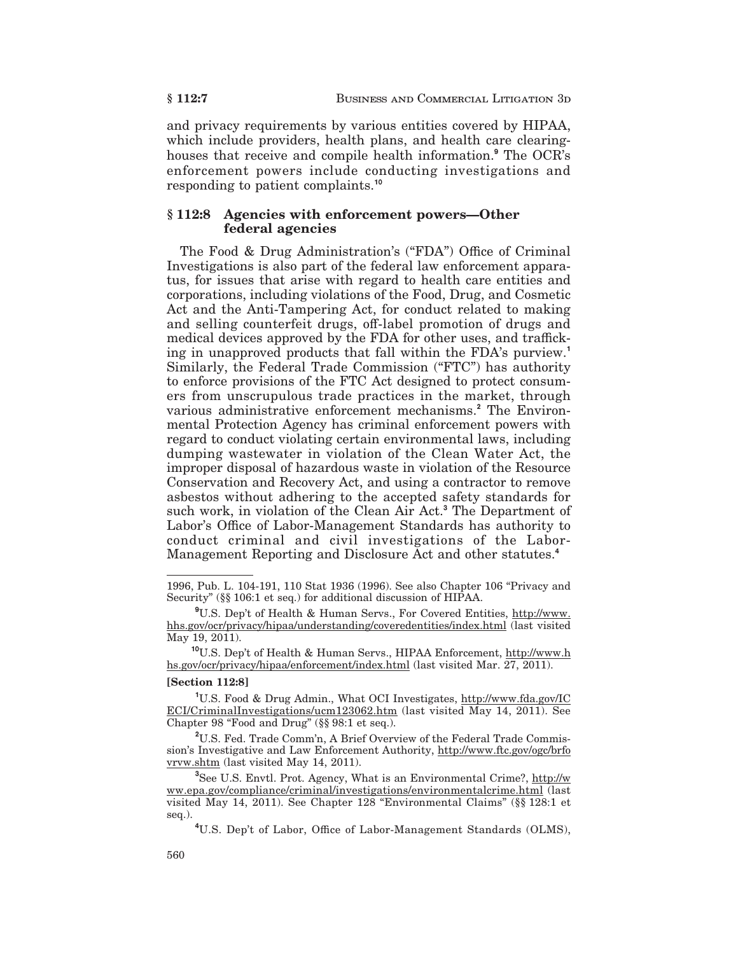and privacy requirements by various entities covered by HIPAA, which include providers, health plans, and health care clearinghouses that receive and compile health information.<sup>9</sup> The OCR's enforcement powers include conducting investigations and responding to patient complaints.<sup>10</sup>

### $§ 112:8$  Agencies with enforcement powers—Other federal agencies

The Food & Drug Administration's ("FDA") Office of Criminal Investigations is also part of the federal law enforcement apparatus, for issues that arise with regard to health care entities and corporations, including violations of the Food, Drug, and Cosmetic Act and the Anti-Tampering Act, for conduct related to making and selling counterfeit drugs, off-label promotion of drugs and medical devices approved by the FDA for other uses, and trafficking in unapproved products that fall within the FDA's purview.<sup>1</sup> Similarly, the Federal Trade Commission ("FTC") has authority to enforce provisions of the FTC Act designed to protect consumers from unscrupulous trade practices in the market, through various administrative enforcement mechanisms.<sup>2</sup> The Environmental Protection Agency has criminal enforcement powers with regard to conduct violating certain environmental laws, including dumping wastewater in violation of the Clean Water Act, the improper disposal of hazardous waste in violation of the Resource Conservation and Recovery Act, and using a contractor to remove asbestos without adhering to the accepted safety standards for such work, in violation of the Clean Air Act.<sup>3</sup> The Department of Labor's Office of Labor-Management Standards has authority to conduct criminal and civil investigations of the Labor-Management Reporting and Disclosure Act and other statutes.<sup>4</sup>

<sup>10</sup>U.S. Dep't of Health & Human Servs., HIPAA Enforcement, http://www.h hs.gov/ocr/privacy/hipaa/enforcement/index.html (last visited Mar. 27, 2011).

#### [Section 112:8]

<sup>1</sup>U.S. Food & Drug Admin., What OCI Investigates, http://www.fda.gov/IC ECI/CriminalInvestigations/ucm123062.htm (last visited May 14, 2011). See Chapter 98 "Food and Drug" (§§ 98:1 et seq.).

<sup>2</sup>U.S. Fed. Trade Comm'n, A Brief Overview of the Federal Trade Commission's Investigative and Law Enforcement Authority, http://www.ftc.gov/ogc/brfo vrvw.shtm (last visited May 14, 2011).

<sup>4</sup>U.S. Dep't of Labor, Office of Labor-Management Standards (OLMS),

§ 112:7

<sup>1996,</sup> Pub. L. 104-191, 110 Stat 1936 (1996). See also Chapter 106 "Privacy and Security" (§§ 106:1 et seq.) for additional discussion of HIPAA.

<sup>&</sup>lt;sup>9</sup>U.S. Dep't of Health & Human Servs., For Covered Entities, http://www. hhs.gov/ocr/privacy/hipaa/understanding/coveredentities/index.html (last visited May 19, 2011).

<sup>&</sup>lt;sup>3</sup>See U.S. Envtl. Prot. Agency, What is an Environmental Crime?, http://w ww.epa.gov/compliance/criminal/investigations/environmentalcrime.html (last visited May 14, 2011). See Chapter 128 "Environmental Claims" (§§ 128:1 et seq.).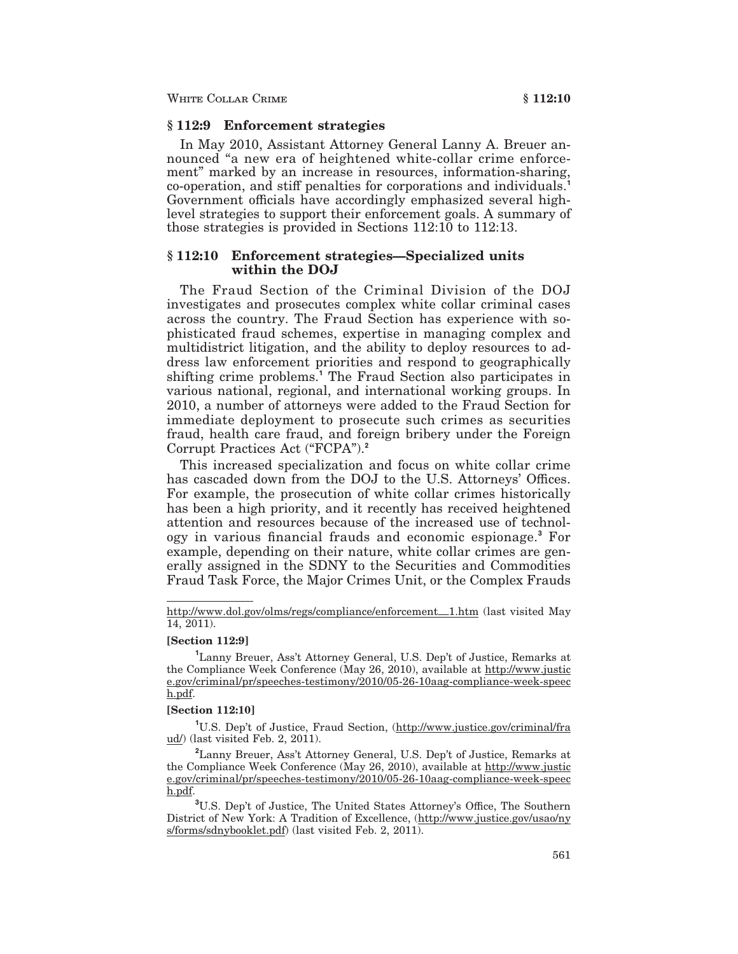## §112:9 Enforcement strategies

In May 2010, Assistant Attorney General Lanny A. Breuer announced "a new era of heightened white-collar crime enforcement" marked by an increase in resources, information-sharing, co-operation, and stiff penalties for corporations and individuals. Government officials have accordingly emphasized several highlevel strategies to support their enforcement goals. A summary of those strategies is provided in Sections  $112:10$  to  $112:13$ .

### § 112:10 Enforcement strategies—Specialized units within the DOJ

The Fraud Section of the Criminal Division of the DOJ investigates and prosecutes complex white collar criminal cases across the country. The Fraud Section has experience with sophisticated fraud schemes, expertise in managing complex and multidistrict litigation, and the ability to deploy resources to address law enforcement priorities and respond to geographically shifting crime problems.<sup>1</sup> The Fraud Section also participates in various national, regional, and international working groups. In 2010, a number of attorneys were added to the Fraud Section for immediate deployment to prosecute such crimes as securities fraud, health care fraud, and foreign bribery under the Foreign Corrupt Practices Act ("FCPA").<sup>2</sup>

This increased specialization and focus on white collar crime has cascaded down from the DOJ to the U.S. Attorneys' Offices. For example, the prosecution of white collar crimes historically has been a high priority, and it recently has received heightened attention and resources because of the increased use of technology in various financial frauds and economic espionage.<sup>3</sup> For example, depending on their nature, white collar crimes are generally assigned in the SDNY to the Securities and Commodities Fraud Task Force, the Major Crimes Unit, or the Complex Frauds

#### [Section 112:9]

<sup>1</sup>Lanny Breuer, Ass't Attorney General, U.S. Dep't of Justice, Remarks at the Compliance Week Conference (May 26, 2010), available at http://www.justic e.gov/criminal/pr/speeches-testimony/2010/05-26-10aag-compliance-week-speec h.pdf.

#### [Section 112:10]

<sup>1</sup>U.S. Dep't of Justice, Fraud Section, (http://www.justice.gov/criminal/fra ud/) (last visited Feb. 2, 2011).

<sup>2</sup>Lanny Breuer, Ass't Attorney General, U.S. Dep't of Justice, Remarks at the Compliance Week Conference (May 26, 2010), available at http://www.justic e.gov/criminal/pr/speeches-testimony/2010/05-26-10aag-compliance-week-speec h.pdf.

<sup>3</sup>U.S. Dep't of Justice, The United States Attorney's Office, The Southern District of New York: A Tradition of Excellence, (http://www.justice.gov/usao/ny s/forms/sdnybooklet.pdf) (last visited Feb. 2, 2011).

http://www.dol.gov/olms/regs/compliance/enforcement\_1.htm (last visited May 14, 2011).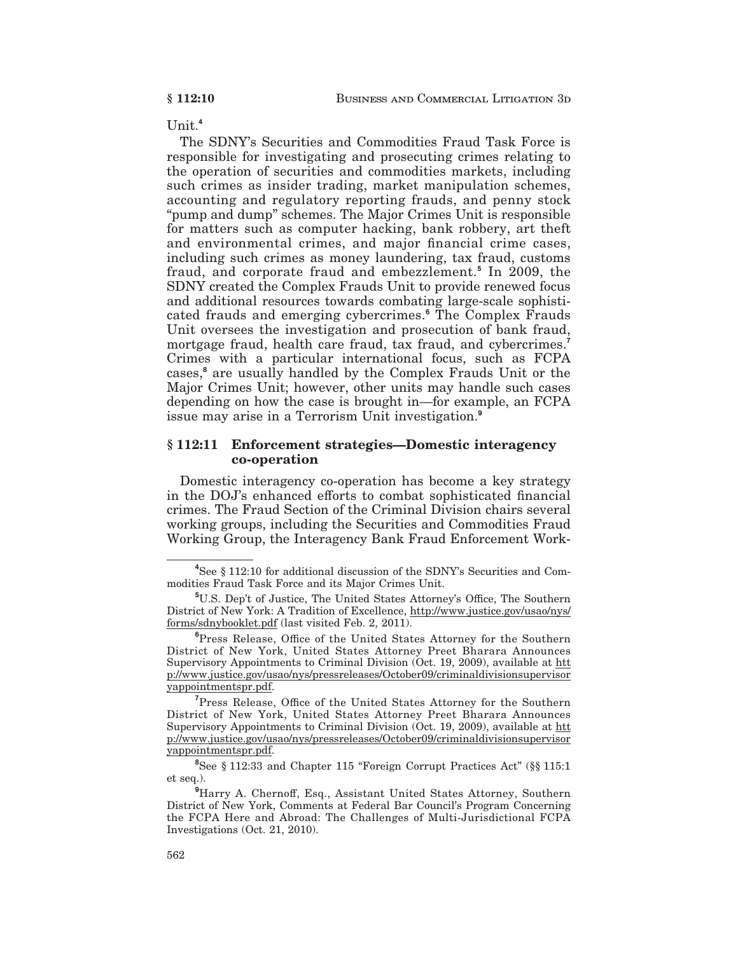$Unit.<sup>4</sup>$ 

The SDNY's Securities and Commodities Fraud Task Force is responsible for investigating and prosecuting crimes relating to the operation of securities and commodities markets, including such crimes as insider trading, market manipulation schemes, accounting and regulatory reporting frauds, and penny stock "pump and dump" schemes. The Major Crimes Unit is responsible for matters such as computer hacking, bank robbery, art theft and environmental crimes, and major financial crime cases, including such crimes as money laundering, tax fraud, customs fraud, and corporate fraud and embezzlement.<sup>5</sup> In 2009, the SDNY created the Complex Frauds Unit to provide renewed focus and additional resources towards combating large-scale sophisticated frauds and emerging cybercrimes.<sup>6</sup> The Complex Frauds Unit oversees the investigation and prosecution of bank fraud, mortgage fraud, health care fraud, tax fraud, and cybercrimes.<sup>7</sup> Crimes with a particular international focus, such as FCPA cases,<sup>8</sup> are usually handled by the Complex Frauds Unit or the Major Crimes Unit; however, other units may handle such cases depending on how the case is brought in—for example, an FCPA issue may arise in a Terrorism Unit investigation.<sup>9</sup>

### § 112:11 Enforcement strategies—Domestic interagency co-operation

Domestic interagency co-operation has become a key strategy in the DOJ's enhanced efforts to combat sophisticated financial crimes. The Fraud Section of the Criminal Division chairs several working groups, including the Securities and Commodities Fraud Working Group, the Interagency Bank Fraud Enforcement Work-

<sup>T</sup>Press Release, Office of the United States Attorney for the Southern District of New York, United States Attorney Preet Bharara Announces Supervisory Appointments to Criminal Division (Oct. 19, 2009), available at htt p://www.justice.gov/usao/nys/pressreleases/October09/criminaldivisionsupervisor yappointmentspr.pdf.

<sup>8</sup>See § 112:33 and Chapter 115 "Foreign Corrupt Practices Act" (§§ 115:1 et seq.).

<sup>9</sup>Harry A. Chernoff, Esq., Assistant United States Attorney, Southern District of New York, Comments at Federal Bar Council's Program Concerning the FCPA Here and Abroad: The Challenges of Multi-Jurisdictional FCPA Investigations (Oct. 21, 2010).

<sup>&</sup>lt;sup>4</sup>See § 112:10 for additional discussion of the SDNY's Securities and Commodities Fraud Task Force and its Major Crimes Unit.

<sup>&</sup>lt;sup>5</sup>U.S. Dep't of Justice, The United States Attorney's Office, The Southern District of New York: A Tradition of Excellence, http://www.justice.gov/usao/nys/ forms/sdnybooklet.pdf (last visited Feb. 2, 2011).

<sup>&</sup>lt;sup>6</sup>Press Release, Office of the United States Attorney for the Southern District of New York, United States Attorney Preet Bharara Announces Supervisory Appointments to Criminal Division (Oct. 19, 2009), available at htt p://www.justice.gov/usao/nys/pressreleases/October09/criminaldivisionsupervisor vappointmentspr.pdf.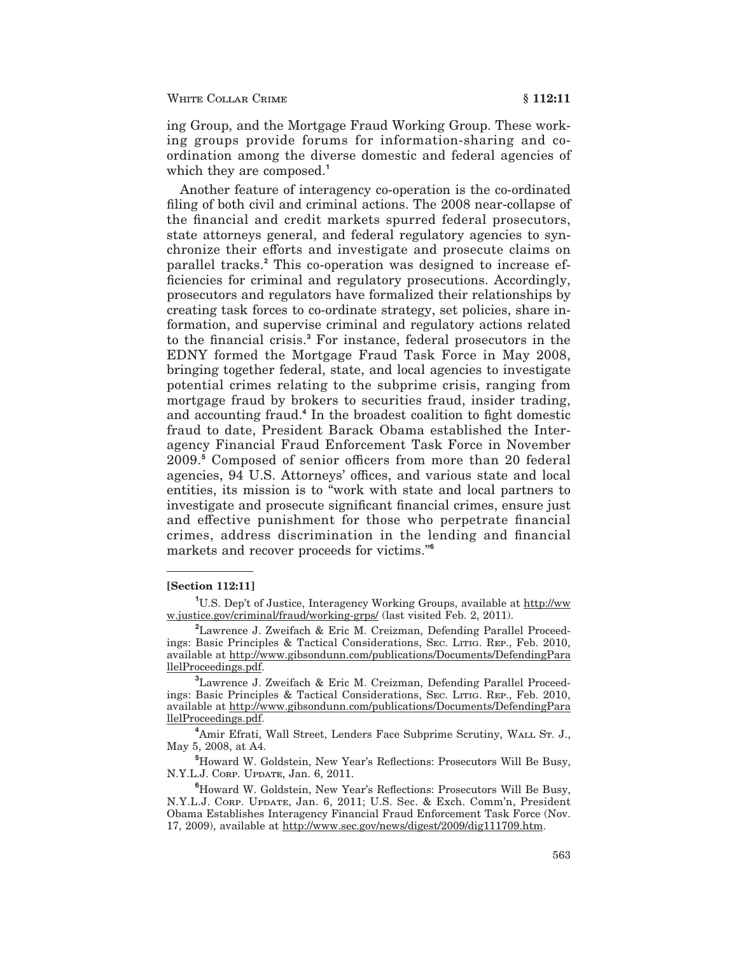ing Group, and the Mortgage Fraud Working Group. These working groups provide forums for information-sharing and coordination among the diverse domestic and federal agencies of which they are composed.<sup>1</sup>

Another feature of interagency co-operation is the co-ordinated filing of both civil and criminal actions. The 2008 near-collapse of the financial and credit markets spurred federal prosecutors, state attorneys general, and federal regulatory agencies to synchronize their efforts and investigate and prosecute claims on parallel tracks.<sup>2</sup> This co-operation was designed to increase efficiencies for criminal and regulatory prosecutions. Accordingly, prosecutors and regulators have formalized their relationships by creating task forces to co-ordinate strategy, set policies, share information, and supervise criminal and regulatory actions related to the financial crisis.<sup>3</sup> For instance, federal prosecutors in the EDNY formed the Mortgage Fraud Task Force in May 2008, bringing together federal, state, and local agencies to investigate potential crimes relating to the subprime crisis, ranging from mortgage fraud by brokers to securities fraud, insider trading. and accounting fraud.<sup>4</sup> In the broadest coalition to fight domestic fraud to date, President Barack Obama established the Interagency Financial Fraud Enforcement Task Force in November 2009.<sup>5</sup> Composed of senior officers from more than 20 federal agencies, 94 U.S. Attorneys' offices, and various state and local entities, its mission is to "work with state and local partners to investigate and prosecute significant financial crimes, ensure just and effective punishment for those who perpetrate financial crimes, address discrimination in the lending and financial markets and recover proceeds for victims."<sup>6</sup>

### [Section 112:11]

<sup>1</sup>U.S. Dep't of Justice, Interagency Working Groups, available at http://ww w.justice.gov/criminal/fraud/working-grps/ (last visited Feb. 2, 2011).

<sup>&</sup>lt;sup>2</sup>Lawrence J. Zweifach & Eric M. Creizman, Defending Parallel Proceedings: Basic Principles & Tactical Considerations, SEC. LITIG. REP., Feb. 2010, available at http://www.gibsondunn.com/publications/Documents/DefendingPara llelProceedings.pdf.

<sup>&</sup>lt;sup>3</sup>Lawrence J. Zweifach & Eric M. Creizman, Defending Parallel Proceedings: Basic Principles & Tactical Considerations, SEC. LITIG. REP., Feb. 2010, available at http://www.gibsondunn.com/publications/Documents/DefendingPara llelProceedings.pdf.

<sup>&</sup>lt;sup>4</sup>Amir Efrati, Wall Street, Lenders Face Subprime Scrutiny, WALL Sr. J., May 5, 2008, at A4.

<sup>&</sup>lt;sup>5</sup>Howard W. Goldstein, New Year's Reflections: Prosecutors Will Be Busy, N.Y.L.J. CORP. UPDATE, Jan. 6, 2011.

<sup>&</sup>lt;sup>6</sup>Howard W. Goldstein, New Year's Reflections: Prosecutors Will Be Busy, N.Y.L.J. CORP. UPDATE, Jan. 6, 2011; U.S. Sec. & Exch. Comm'n, President Obama Establishes Interagency Financial Fraud Enforcement Task Force (Nov. 17, 2009), available at http://www.sec.gov/news/digest/2009/dig111709.htm.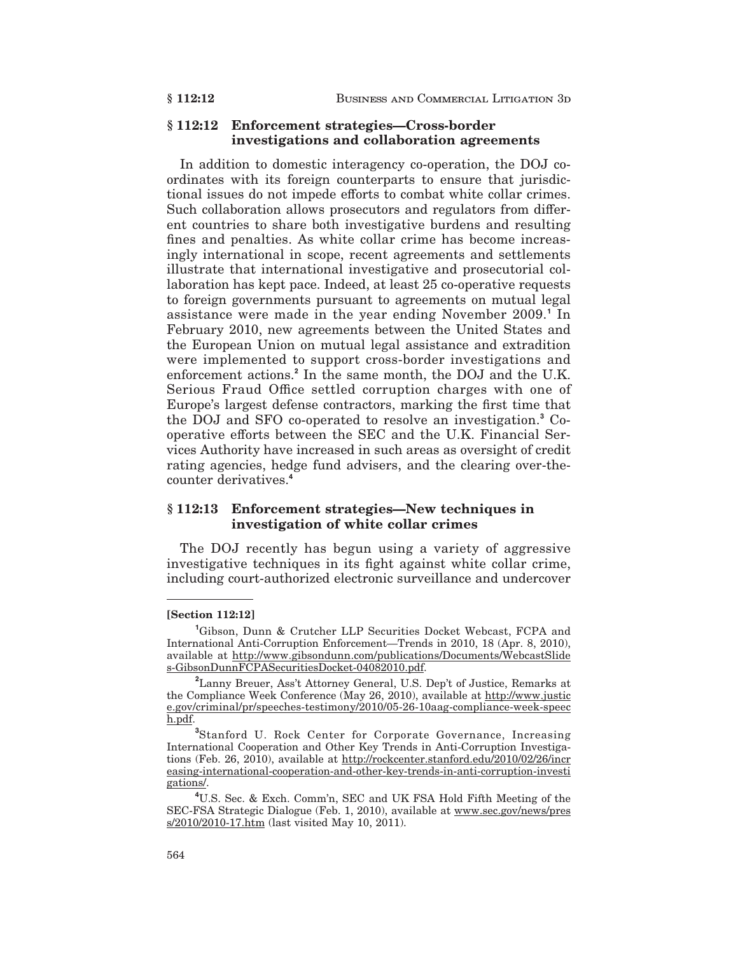### §112:12 Enforcement strategies—Cross-border investigations and collaboration agreements

In addition to domestic interagency co-operation, the DOJ coordinates with its foreign counterparts to ensure that jurisdictional issues do not impede efforts to combat white collar crimes. Such collaboration allows prosecutors and regulators from different countries to share both investigative burdens and resulting fines and penalties. As white collar crime has become increasingly international in scope, recent agreements and settlements illustrate that international investigative and prosecutorial collaboration has kept pace. Indeed, at least 25 co-operative requests to foreign governments pursuant to agreements on mutual legal assistance were made in the year ending November 2009.<sup>1</sup> In February 2010, new agreements between the United States and the European Union on mutual legal assistance and extradition were implemented to support cross-border investigations and enforcement actions.<sup>2</sup> In the same month, the DOJ and the U.K. Serious Fraud Office settled corruption charges with one of Europe's largest defense contractors, marking the first time that the DOJ and SFO co-operated to resolve an investigation.<sup>3</sup> Cooperative efforts between the SEC and the U.K. Financial Services Authority have increased in such areas as oversight of credit rating agencies, hedge fund advisers, and the clearing over-thecounter derivatives.<sup>4</sup>

## § 112:13 Enforcement strategies—New techniques in investigation of white collar crimes

The DOJ recently has begun using a variety of aggressive investigative techniques in its fight against white collar crime, including court-authorized electronic surveillance and undercover

### [Section 112:12]

\$112:12

<sup>&</sup>lt;sup>1</sup>Gibson, Dunn & Crutcher LLP Securities Docket Webcast, FCPA and International Anti-Corruption Enforcement—Trends in 2010, 18 (Apr. 8, 2010),  $\label{thm:main} \begin{minipage}[t]{0.9\linewidth} \textbf{available at }\underline{\text{http://www.gibsondunn.com/publications/Documents/WebcastS}{} \textit{ide} \\ \underline{\text{s-GibsonDunnFCPA}{} \textit{Security}{} \textit{Docket-04082010.pdf}. \end{minipage}$ 

<sup>&</sup>lt;sup>2</sup>Lanny Breuer, Ass't Attorney General, U.S. Dep't of Justice, Remarks at the Compliance Week Conference (May 26, 2010), available at http://www.justic e.gov/criminal/pr/speeches-testimony/2010/05-26-10aag-compliance-week-speec h.pdf.

<sup>&</sup>lt;sup>3</sup>Stanford U. Rock Center for Corporate Governance, Increasing International Cooperation and Other Key Trends in Anti-Corruption Investigations (Feb. 26, 2010), available at http://rockcenter.stanford.edu/2010/02/26/incr easing-international-cooperation-and-other-key-trends-in-anti-corruption-investi gations/.

<sup>&</sup>lt;sup>4</sup>U.S. Sec. & Exch. Comm'n, SEC and UK FSA Hold Fifth Meeting of the SEC-FSA Strategic Dialogue (Feb. 1, 2010), available at www.sec.gov/news/pres s/2010/2010-17.htm (last visited May 10, 2011).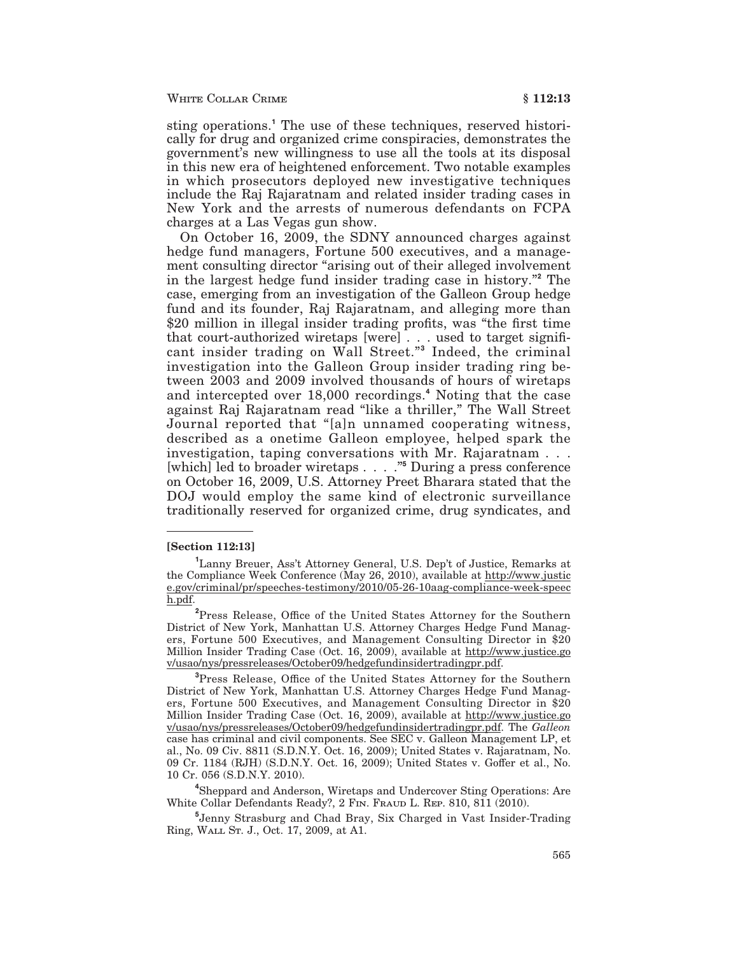sting operations.<sup>1</sup> The use of these techniques, reserved historically for drug and organized crime conspiracies, demonstrates the government's new willingness to use all the tools at its disposal in this new era of heightened enforcement. Two notable examples in which prosecutors deployed new investigative techniques include the Raj Rajaratnam and related insider trading cases in New York and the arrests of numerous defendants on FCPA charges at a Las Vegas gun show.

On October 16, 2009, the SDNY announced charges against hedge fund managers, Fortune 500 executives, and a management consulting director "arising out of their alleged involvement" in the largest hedge fund insider trading case in history." The case, emerging from an investigation of the Galleon Group hedge fund and its founder, Raj Rajaratnam, and alleging more than \$20 million in illegal insider trading profits, was "the first time that court-authorized wiretaps [were] . . . used to target significant insider trading on Wall Street." Indeed, the criminal investigation into the Galleon Group insider trading ring between 2003 and 2009 involved thousands of hours of wiretaps and intercepted over 18,000 recordings.<sup>4</sup> Noting that the case against Raj Rajaratnam read "like a thriller," The Wall Street Journal reported that "[a]n unnamed cooperating witness, described as a onetime Galleon employee, helped spark the investigation, taping conversations with Mr. Rajaratnam . . . which led to broader wiretaps . . . . . . 5 During a press conference on October 16, 2009, U.S. Attorney Preet Bharara stated that the DOJ would employ the same kind of electronic surveillance traditionally reserved for organized crime, drug syndicates, and

#### **Section 112:13**

<sup>4</sup>Sheppard and Anderson, Wiretaps and Undercover Sting Operations: Are White Collar Defendants Ready?, 2 FIN. FRAUD L. REP. 810, 811 (2010).

<sup>5</sup>Jenny Strasburg and Chad Bray, Six Charged in Vast Insider-Trading Ring, WALL Sr. J., Oct. 17, 2009, at A1.

<sup>&</sup>lt;sup>1</sup>Lanny Breuer, Ass't Attorney General, U.S. Dep't of Justice, Remarks at the Compliance Week Conference (May 26, 2010), available at http://www.justic e.gov/criminal/pr/speeches-testimony/2010/05-26-10aag-compliance-week-speec h.pdf.

<sup>&</sup>lt;sup>2</sup>Press Release, Office of the United States Attorney for the Southern District of New York, Manhattan U.S. Attorney Charges Hedge Fund Managers, Fortune 500 Executives, and Management Consulting Director in \$20 Million Insider Trading Case (Oct. 16, 2009), available at http://www.justice.go v/usao/nys/pressreleases/October09/hedgefundinsidertradingpr.pdf.

<sup>&</sup>lt;sup>3</sup>Press Release, Office of the United States Attorney for the Southern District of New York, Manhattan U.S. Attorney Charges Hedge Fund Managers, Fortune 500 Executives, and Management Consulting Director in \$20 Million Insider Trading Case (Oct. 16, 2009), available at http://www.justice.go v/usao/nys/pressreleases/October09/hedgefundinsidertradingpr.pdf. The Galleon case has criminal and civil components. See SEC v. Galleon Management LP, et al., No. 09 Civ. 8811 (S.D.N.Y. Oct. 16, 2009); United States v. Rajaratnam, No. 09 Cr. 1184 (RJH) (S.D.N.Y. Oct. 16, 2009); United States v. Goffer et al., No. 10 Cr. 056 (S.D.N.Y. 2010).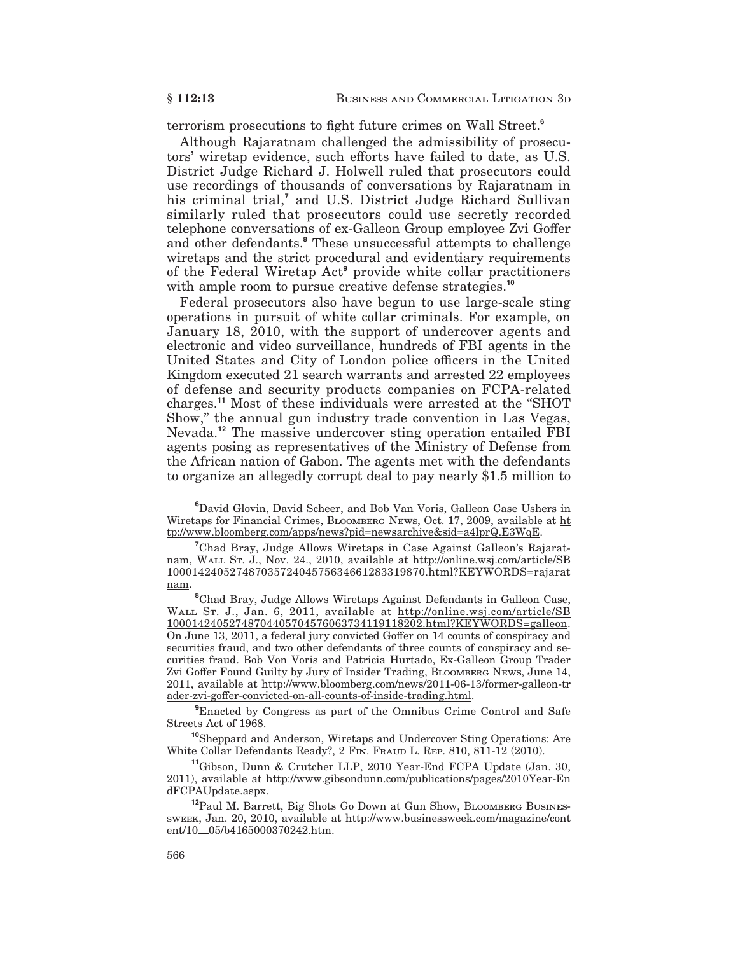terrorism prosecutions to fight future crimes on Wall Street.<sup>6</sup>

Although Rajaratnam challenged the admissibility of prosecutors' wiretap evidence, such efforts have failed to date, as U.S. District Judge Richard J. Holwell ruled that prosecutors could use recordings of thousands of conversations by Rajaratnam in his criminal trial,<sup>7</sup> and U.S. District Judge Richard Sullivan similarly ruled that prosecutors could use secretly recorded telephone conversations of ex-Galleon Group employee Zvi Goffer and other defendants.<sup>8</sup> These unsuccessful attempts to challenge wiretaps and the strict procedural and evidentiary requirements of the Federal Wiretap Act<sup>9</sup> provide white collar practitioners with ample room to pursue creative defense strategies.<sup>10</sup>

Federal prosecutors also have begun to use large-scale sting operations in pursuit of white collar criminals. For example, on January 18, 2010, with the support of undercover agents and electronic and video surveillance, hundreds of FBI agents in the United States and City of London police officers in the United Kingdom executed 21 search warrants and arrested 22 employees of defense and security products companies on FCPA-related charges.<sup>11</sup> Most of these individuals were arrested at the "SHOT Show," the annual gun industry trade convention in Las Vegas, Nevada.<sup>12</sup> The massive undercover sting operation entailed FBI agents posing as representatives of the Ministry of Defense from the African nation of Gabon. The agents met with the defendants to organize an allegedly corrupt deal to pay nearly \$1.5 million to

<sup>9</sup>Enacted by Congress as part of the Omnibus Crime Control and Safe Streets Act of 1968.

<sup>10</sup>Sheppard and Anderson, Wiretaps and Undercover Sting Operations: Are White Collar Defendants Ready?, 2 FIN. FRAUD L. REP. 810, 811-12 (2010).

<sup>11</sup>Gibson. Dunn & Crutcher LLP, 2010 Year-End FCPA Update (Jan. 30, 2011), available at http://www.gibsondunn.com/publications/pages/2010Year-En dFCPAUpdate.aspx.

<sup>&</sup>lt;sup>6</sup>David Glovin, David Scheer, and Bob Van Voris, Galleon Case Ushers in Wiretaps for Financial Crimes, BLOOMBERG NEWS, Oct. 17, 2009, available at ht tp://www.bloomberg.com/apps/news?pid=newsarchive&sid=a4lprQ.E3WqE.

<sup>&</sup>lt;sup>7</sup>Chad Bray, Judge Allows Wiretaps in Case Against Galleon's Rajaratnam, WALL Sr. J., Nov. 24., 2010, available at http://online.wsj.com/article/SB 10001424052748703572404575634661283319870.html?KEYWORDS=rajarat nam.

<sup>&</sup>lt;sup>8</sup>Chad Bray, Judge Allows Wiretaps Against Defendants in Galleon Case, WALL ST. J., Jan. 6, 2011, available at http://online.wsj.com/article/SB 10001424052748704405704576063734119118202.html?KEYWORDS=galleon. On June 13, 2011, a federal jury convicted Goffer on 14 counts of conspiracy and securities fraud, and two other defendants of three counts of conspiracy and securities fraud. Bob Von Voris and Patricia Hurtado, Ex-Galleon Group Trader Zvi Goffer Found Guilty by Jury of Insider Trading, BLOOMBERG NEWS, June 14, 2011, available at http://www.bloomberg.com/news/2011-06-13/former-galleon-tr ader-zvi-goffer-convicted-on-all-counts-of-inside-trading.html.

<sup>&</sup>lt;sup>12</sup>Paul M. Barrett, Big Shots Go Down at Gun Show, BLOOMBERG BUSINES-SWEEK, Jan. 20, 2010, available at http://www.businessweek.com/magazine/cont ent/10\_05/b4165000370242.htm.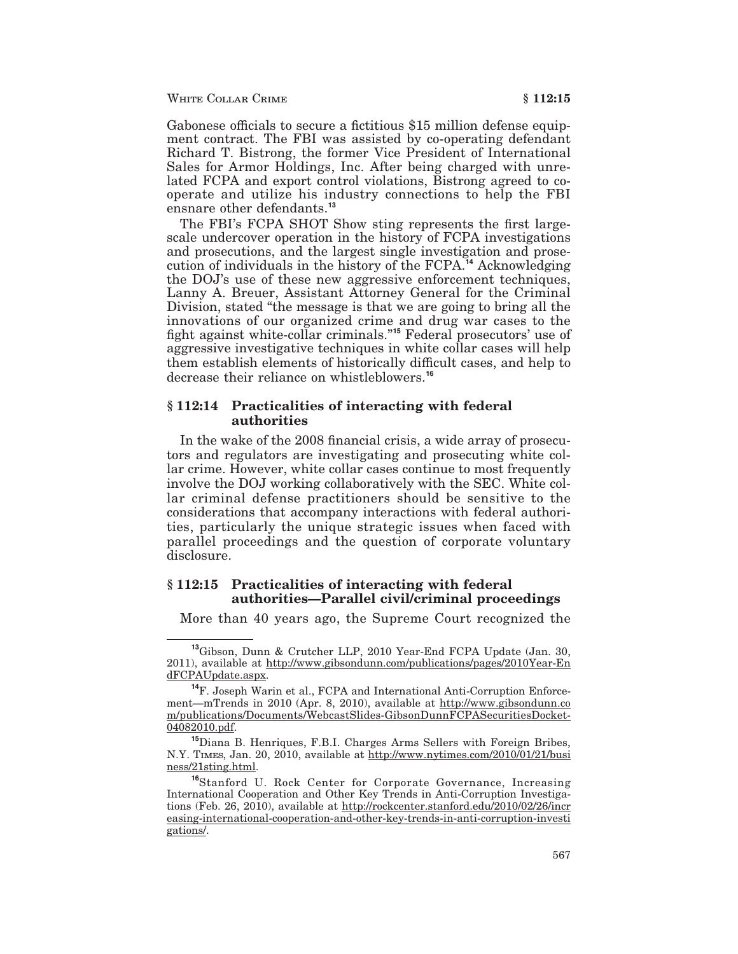WHITE COLLAR CRIME

Gabonese officials to secure a fictitious \$15 million defense equipment contract. The FBI was assisted by co-operating defendant Richard T. Bistrong, the former Vice President of International Sales for Armor Holdings, Inc. After being charged with unrelated FCPA and export control violations, Bistrong agreed to cooperate and utilize his industry connections to help the FBI ensnare other defendants.<sup>13</sup>

The FBI's FCPA SHOT Show sting represents the first largescale undercover operation in the history of FCPA investigations and prosecutions, and the largest single investigation and prosecution of individuals in the history of the FCPA.<sup>14</sup> Acknowledging the DOJ's use of these new aggressive enforcement techniques, Lanny A. Breuer, Assistant Attorney General for the Criminal Division, stated "the message is that we are going to bring all the innovations of our organized crime and drug war cases to the fight against white-collar criminals."<sup>15</sup> Federal prosecutors' use of aggressive investigative techniques in white collar cases will help them establish elements of historically difficult cases, and help to decrease their reliance on whistleblowers.<sup>16</sup>

### § 112:14 Practicalities of interacting with federal *authorities*

In the wake of the 2008 financial crisis, a wide array of prosecutors and regulators are investigating and prosecuting white collar crime. However, white collar cases continue to most frequently involve the DOJ working collaboratively with the SEC. White collar criminal defense practitioners should be sensitive to the considerations that accompany interactions with federal authorities, particularly the unique strategic issues when faced with parallel proceedings and the question of corporate voluntary disclosure.

## §112:15 Practicalities of interacting with federal authorities—Parallel civil/criminal proceedings

More than 40 years ago, the Supreme Court recognized the

<sup>&</sup>lt;sup>13</sup>Gibson, Dunn & Crutcher LLP, 2010 Year-End FCPA Update (Jan. 30, 2011), available at http://www.gibsondunn.com/publications/pages/2010Year-En dFCPAUpdate.aspx.

<sup>&</sup>lt;sup>14</sup>F. Joseph Warin et al., FCPA and International Anti-Corruption Enforcement-mTrends in 2010 (Apr. 8, 2010), available at http://www.gibsondunn.co m/publications/Documents/WebcastSlides-GibsonDunnFCPASecuritiesDocket-04082010.pdf.

<sup>&</sup>lt;sup>15</sup>Diana B. Henriques, F.B.I. Charges Arms Sellers with Foreign Bribes, N.Y. TIMES, Jan. 20, 2010, available at http://www.nytimes.com/2010/01/21/busi ness/21sting.html.

<sup>&</sup>lt;sup>16</sup>Stanford U. Rock Center for Corporate Governance, Increasing International Cooperation and Other Key Trends in Anti-Corruption Investigations (Feb. 26, 2010), available at http://rockcenter.stanford.edu/2010/02/26/incr easing-international-cooperation-and-other-key-trends-in-anti-corruption-investi gations/.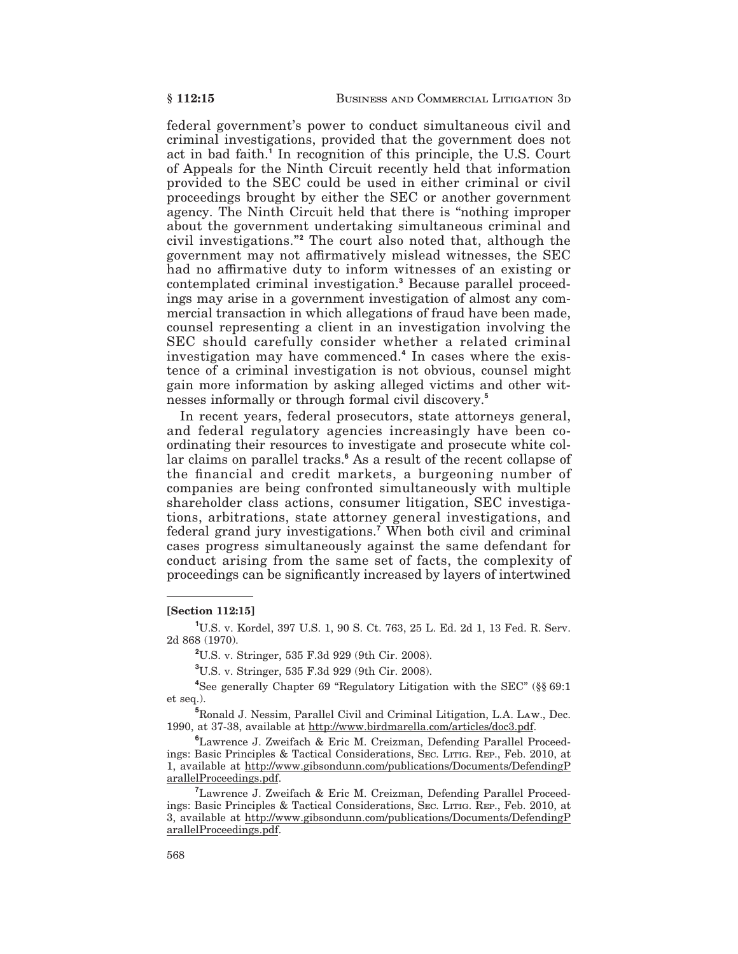federal government's power to conduct simultaneous civil and criminal investigations, provided that the government does not act in bad faith.<sup>1</sup> In recognition of this principle, the U.S. Court of Appeals for the Ninth Circuit recently held that information provided to the SEC could be used in either criminal or civil proceedings brought by either the SEC or another government agency. The Ninth Circuit held that there is "nothing improper about the government undertaking simultaneous criminal and civil investigations."<sup>2</sup> The court also noted that, although the government may not affirmatively mislead witnesses, the SEC had no affirmative duty to inform witnesses of an existing or contemplated criminal investigation.<sup>3</sup> Because parallel proceedings may arise in a government investigation of almost any commercial transaction in which allegations of fraud have been made. counsel representing a client in an investigation involving the SEC should carefully consider whether a related criminal investigation may have commenced.<sup>4</sup> In cases where the existence of a criminal investigation is not obvious, counsel might gain more information by asking alleged victims and other witnesses informally or through formal civil discovery.<sup>5</sup>

In recent years, federal prosecutors, state attorneys general, and federal regulatory agencies increasingly have been coordinating their resources to investigate and prosecute white collar claims on parallel tracks.<sup>6</sup> As a result of the recent collapse of the financial and credit markets, a burgeoning number of companies are being confronted simultaneously with multiple shareholder class actions, consumer litigation, SEC investigations, arbitrations, state attorney general investigations, and federal grand jury investigations.<sup>7</sup> When both civil and criminal cases progress simultaneously against the same defendant for conduct arising from the same set of facts, the complexity of proceedings can be significantly increased by layers of intertwined

#### [Section 112:15]

<sup>1</sup>U.S. v. Kordel, 397 U.S. 1, 90 S. Ct. 763, 25 L. Ed. 2d 1, 13 Fed. R. Serv. 2d 868 (1970).

<sup>2</sup>U.S. v. Stringer, 535 F.3d 929 (9th Cir. 2008).

<sup>3</sup>U.S. v. Stringer, 535 F.3d 929 (9th Cir. 2008).

<sup>4</sup>See generally Chapter 69 "Regulatory Litigation with the SEC" (§§ 69:1  $et seq.$ ).

<sup>5</sup>Ronald J. Nessim, Parallel Civil and Criminal Litigation, L.A. LAW., Dec. 1990, at 37-38, available at http://www.birdmarella.com/articles/doc3.pdf.

<sup>6</sup>Lawrence J. Zweifach & Eric M. Creizman, Defending Parallel Proceedings: Basic Principles & Tactical Considerations, SEC. LITIG. REP., Feb. 2010, at 1, available at http://www.gibsondunn.com/publications/Documents/DefendingP arallelProceedings.pdf.

<sup>7</sup>Lawrence J. Zweifach & Eric M. Creizman, Defending Parallel Proceedings: Basic Principles & Tactical Considerations, SEC. LITIG. REP., Feb. 2010, at 3, available at http://www.gibsondunn.com/publications/Documents/DefendingP arallelProceedings.pdf.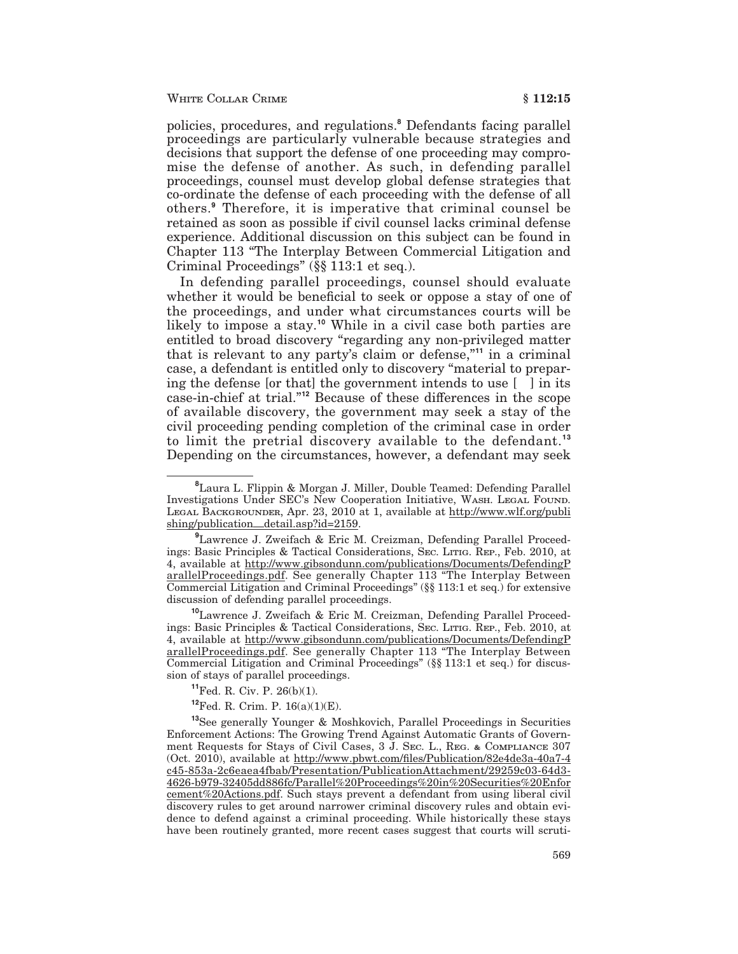policies, procedures, and regulations.<sup>8</sup> Defendants facing parallel proceedings are particularly vulnerable because strategies and decisions that support the defense of one proceeding may compromise the defense of another. As such, in defending parallel proceedings, counsel must develop global defense strategies that co-ordinate the defense of each proceeding with the defense of all others.<sup>9</sup> Therefore, it is imperative that criminal counsel be retained as soon as possible if civil counsel lacks criminal defense experience. Additional discussion on this subject can be found in Chapter 113 "The Interplay Between Commercial Litigation and Criminal Proceedings"  $(\S \S 113:1$  et seq.).

In defending parallel proceedings, counsel should evaluate whether it would be beneficial to seek or oppose a stay of one of the proceedings, and under what circumstances courts will be likely to impose a stay.<sup>10</sup> While in a civil case both parties are entitled to broad discovery "regarding any non-privileged matter that is relevant to any party's claim or defense,"<sup>11</sup> in a criminal case, a defendant is entitled only to discovery "material to preparing the defense [or that] the government intends to use [] in its case-in-chief at trial."<sup>12</sup> Because of these differences in the scope of available discovery, the government may seek a stay of the civil proceeding pending completion of the criminal case in order to limit the pretrial discovery available to the defendant.<sup>13</sup> Depending on the circumstances, however, a defendant may seek

<sup>10</sup>Lawrence J. Zweifach & Eric M. Creizman, Defending Parallel Proceedings: Basic Principles & Tactical Considerations, SEC. LITIG. REP., Feb. 2010, at 4, available at http://www.gibsondunn.com/publications/Documents/DefendingP arallelProceedings.pdf. See generally Chapter 113 "The Interplay Between Commercial Litigation and Criminal Proceedings" (§§ 113:1 et seq.) for discussion of stays of parallel proceedings.

 $^{11}$ Fed. R. Civ. P. 26(b)(1).

 ${}^{12}$ Fed, R. Crim, P. 16(a)(1)(E).

<sup>13</sup>See generally Younger & Moshkovich, Parallel Proceedings in Securities Enforcement Actions: The Growing Trend Against Automatic Grants of Government Requests for Stays of Civil Cases, 3 J. SEC. L., REG. & COMPLIANCE 307 (Oct. 2010), available at http://www.pbwt.com/files/Publication/82e4de3a-40a7-4 c45-853a-2c6eaea4fbab/Presentation/PublicationAttachment/29259c03-64d3-4626-b979-32405dd886fc/Parallel%20Proceedings%20in%20Securities%20Enfor cement%20Actions.pdf. Such stays prevent a defendant from using liberal civil discovery rules to get around narrower criminal discovery rules and obtain evidence to defend against a criminal proceeding. While historically these stays have been routinely granted, more recent cases suggest that courts will scruti-

<sup>&</sup>lt;sup>8</sup> Laura L. Flippin & Morgan J. Miller, Double Teamed: Defending Parallel Investigations Under SEC's New Cooperation Initiative, WASH. LEGAL FOUND. LEGAL BACKGROUNDER, Apr. 23, 2010 at 1, available at http://www.wlf.org/publi shing/publication\_detail.asp?id=2159.

<sup>&</sup>lt;sup>9</sup>Lawrence J. Zweifach & Eric M. Creizman, Defending Parallel Proceedings: Basic Principles & Tactical Considerations, SEC. LITIG. REP., Feb. 2010, at 4, available at http://www.gibsondunn.com/publications/Documents/DefendingP arallelProceedings.pdf. See generally Chapter 113 "The Interplay Between Commercial Litigation and Criminal Proceedings" (§§ 113:1 et seq.) for extensive discussion of defending parallel proceedings.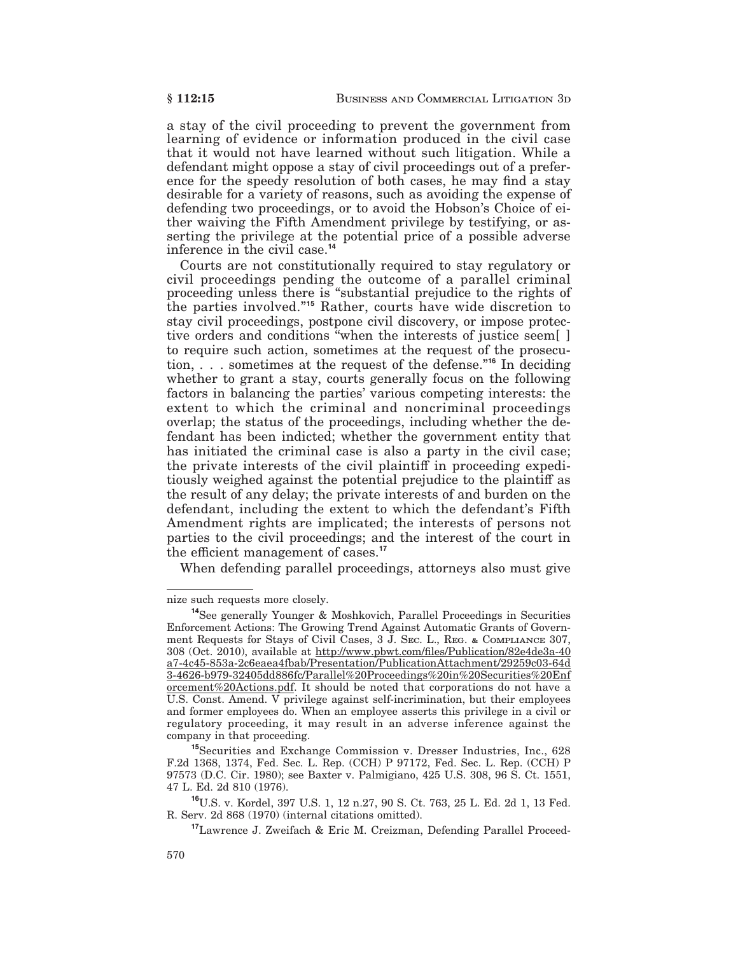a stay of the civil proceeding to prevent the government from learning of evidence or information produced in the civil case that it would not have learned without such litigation. While a defendant might oppose a stay of civil proceedings out of a preference for the speedy resolution of both cases, he may find a stay desirable for a variety of reasons, such as avoiding the expense of defending two proceedings, or to avoid the Hobson's Choice of either waiving the Fifth Amendment privilege by testifying, or asserting the privilege at the potential price of a possible adverse inference in the civil case.<sup>14</sup>

Courts are not constitutionally required to stay regulatory or civil proceedings pending the outcome of a parallel criminal<br>proceeding unless there is "substantial prejudice to the rights of the parties involved."<sup>15</sup> Rather, courts have wide discretion to stay civil proceedings, postpone civil discovery, or impose protective orders and conditions "when the interests of justice seem[] to require such action, sometimes at the request of the prosecution,  $\ldots$  sometimes at the request of the defense."<sup>16</sup> In deciding whether to grant a stay, courts generally focus on the following factors in balancing the parties' various competing interests: the extent to which the criminal and noncriminal proceedings overlap; the status of the proceedings, including whether the defendant has been indicted; whether the government entity that has initiated the criminal case is also a party in the civil case; the private interests of the civil plaintiff in proceeding expeditiously weighed against the potential prejudice to the plaintiff as the result of any delay; the private interests of and burden on the defendant, including the extent to which the defendant's Fifth Amendment rights are implicated; the interests of persons not parties to the civil proceedings; and the interest of the court in the efficient management of cases.<sup>17</sup>

When defending parallel proceedings, attorneys also must give

nize such requests more closely.

<sup>&</sup>lt;sup>14</sup>See generally Younger & Moshkovich, Parallel Proceedings in Securities Enforcement Actions: The Growing Trend Against Automatic Grants of Government Requests for Stays of Civil Cases, 3 J. SEC. L., REG. & COMPLIANCE 307, 308 (Oct. 2010), available at http://www.pbwt.com/files/Publication/82e4de3a-40 a7-4c45-853a-2c6eaea4fbab/Presentation/PublicationAttachment/29259c03-64d 3-4626-b979-32405dd886fc/Parallel%20Proceedings%20in%20Securities%20Enf orcement%20Actions.pdf. It should be noted that corporations do not have a U.S. Const. Amend. V privilege against self-incrimination, but their employees and former employees do. When an employee asserts this privilege in a civil or regulatory proceeding, it may result in an adverse inference against the company in that proceeding.

<sup>&</sup>lt;sup>15</sup>Securities and Exchange Commission v. Dresser Industries, Inc., 628 F.2d 1368, 1374, Fed. Sec. L. Rep. (CCH) P 97172, Fed. Sec. L. Rep. (CCH) P 97573 (D.C. Cir. 1980); see Baxter v. Palmigiano, 425 U.S. 308, 96 S. Ct. 1551, 47 L. Ed. 2d 810 (1976).

<sup>&</sup>lt;sup>16</sup>U.S. v. Kordel, 397 U.S. 1, 12 n.27, 90 S. Ct. 763, 25 L. Ed. 2d 1, 13 Fed. R. Serv. 2d 868 (1970) (internal citations omitted).

<sup>&</sup>lt;sup>17</sup> Lawrence J. Zweifach & Eric M. Creizman, Defending Parallel Proceed-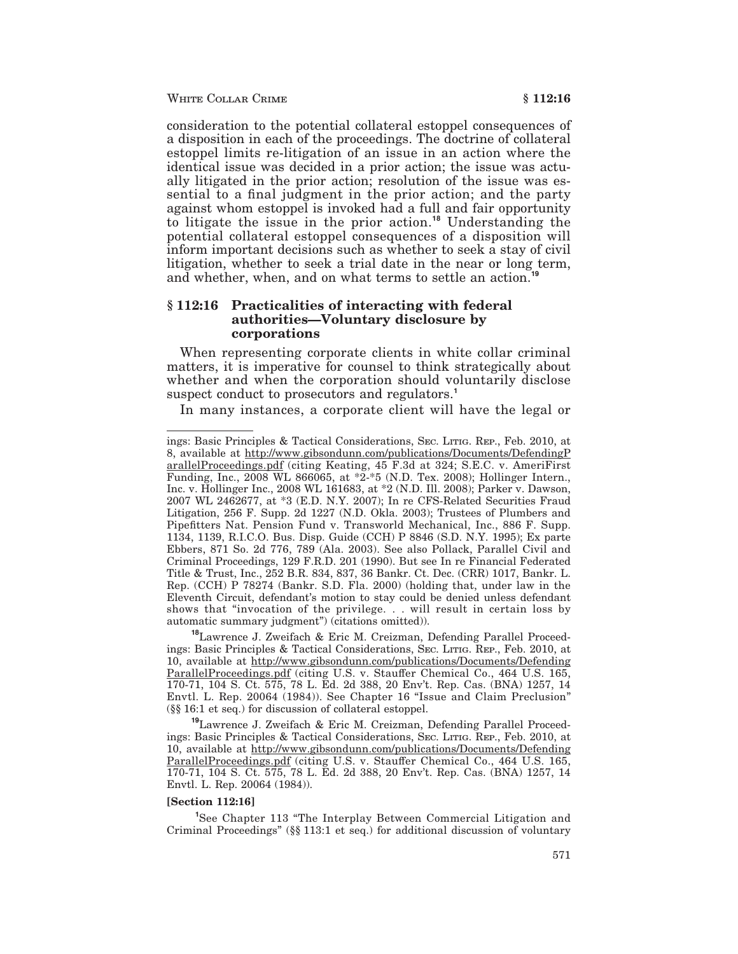#### WHITE COLLAR CRIME

consideration to the potential collateral estoppel consequences of a disposition in each of the proceedings. The doctrine of collateral estoppel limits re-litigation of an issue in an action where the identical issue was decided in a prior action; the issue was actually litigated in the prior action; resolution of the issue was essential to a final judgment in the prior action; and the party against whom estoppel is invoked had a full and fair opportunity to litigate the issue in the prior action.<sup>18</sup> Understanding the potential collateral estoppel consequences of a disposition will inform important decisions such as whether to seek a stay of civil litigation, whether to seek a trial date in the near or long term, and whether, when, and on what terms to settle an action.<sup>19</sup>

### § 112:16 Practicalities of interacting with federal authorities—Voluntary disclosure by corporations

When representing corporate clients in white collar criminal matters, it is imperative for counsel to think strategically about whether and when the corporation should voluntarily disclose suspect conduct to prosecutors and regulators.<sup>1</sup>

In many instances, a corporate client will have the legal or

<sup>19</sup>Lawrence J. Zweifach & Eric M. Creizman, Defending Parallel Proceedings: Basic Principles & Tactical Considerations, SEC. LITIG. REP., Feb. 2010, at 10, available at http://www.gibsondunn.com/publications/Documents/Defending ParallelProceedings.pdf (citing U.S. v. Stauffer Chemical Co., 464 U.S. 165, 170-71, 104 S. Ct. 575, 78 L. Ed. 2d 388, 20 Env't. Rep. Cas. (BNA) 1257, 14 Envtl. L. Rep. 20064 (1984)).

#### **Section 112:16**

<sup>1</sup>See Chapter 113 "The Interplay Between Commercial Litigation and Criminal Proceedings" (§§ 113:1 et seq.) for additional discussion of voluntary

ings: Basic Principles & Tactical Considerations, Sec. LITIG. REP., Feb. 2010, at 8, available at http://www.gibsondunn.com/publications/Documents/DefendingP arallelProceedings.pdf (citing Keating, 45 F.3d at 324; S.E.C. v. AmeriFirst Funding, Inc., 2008 WL 866065, at \*2-\*5 (N.D. Tex. 2008); Hollinger Intern., Inc. v. Hollinger Inc., 2008 WL 161683, at \*2 (N.D. Ill. 2008); Parker v. Dawson, 2007 WL 2462677, at \*3 (E.D. N.Y. 2007); In re CFS-Related Securities Fraud Litigation, 256 F. Supp. 2d 1227 (N.D. Okla. 2003); Trustees of Plumbers and Pipefitters Nat. Pension Fund v. Transworld Mechanical, Inc., 886 F. Supp. 1134, 1139, R.I.C.O. Bus. Disp. Guide (CCH) P 8846 (S.D. N.Y. 1995); Ex parte Ebbers, 871 So. 2d 776, 789 (Ala. 2003). See also Pollack, Parallel Civil and Criminal Proceedings, 129 F.R.D. 201 (1990). But see In re Financial Federated Title & Trust, Inc., 252 B.R. 834, 837, 36 Bankr. Ct. Dec. (CRR) 1017, Bankr. L. Rep. (CCH) P 78274 (Bankr. S.D. Fla. 2000) (holding that, under law in the Eleventh Circuit, defendant's motion to stay could be denied unless defendant shows that "invocation of the privilege... will result in certain loss by automatic summary judgment") (citations omitted)).

<sup>&</sup>lt;sup>18</sup>Lawrence J. Zweifach & Eric M. Creizman, Defending Parallel Proceedings: Basic Principles & Tactical Considerations, SEC. LITIG. REP., Feb. 2010, at 10, available at http://www.gibsondunn.com/publications/Documents/Defending ParallelProceedings.pdf (citing U.S. v. Stauffer Chemical Co., 464 U.S. 165, 170-71, 104 S. Ct. 575, 78 L. Ed. 2d 388, 20 Env't. Rep. Cas. (BNA) 1257, 14 Envtl. L. Rep. 20064 (1984)). See Chapter 16 "Issue and Claim Preclusion" (§§ 16:1 et seq.) for discussion of collateral estoppel.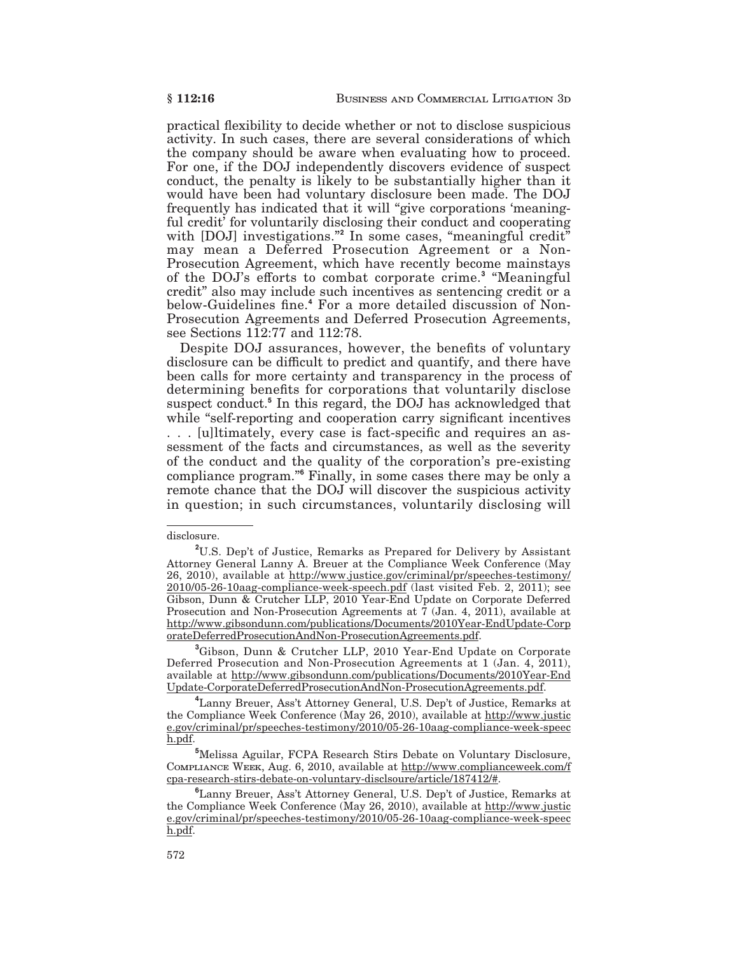practical flexibility to decide whether or not to disclose suspicious activity. In such cases, there are several considerations of which the company should be aware when evaluating how to proceed. For one, if the DOJ independently discovers evidence of suspect conduct, the penalty is likely to be substantially higher than it would have been had voluntary disclosure been made. The DOJ frequently has indicated that it will "give corporations 'meaningful credit' for voluntarily disclosing their conduct and cooperating with [DOJ] investigations."<sup>2</sup> In some cases, "meaningful credit" may mean a Deferred Prosecution Agreement or a Non-Prosecution Agreement, which have recently become mainstays of the DOJ's efforts to combat corporate crime.<sup>3</sup> "Meaningful credit" also may include such incentives as sentencing credit or a below-Guidelines fine.<sup>4</sup> For a more detailed discussion of Non-Prosecution Agreements and Deferred Prosecution Agreements, see Sections  $1\overline{1}2:77$  and  $112:78$ .

Despite DOJ assurances, however, the benefits of voluntary disclosure can be difficult to predict and quantify, and there have been calls for more certainty and transparency in the process of determining benefits for corporations that voluntarily disclose suspect conduct.<sup>5</sup> In this regard, the DOJ has acknowledged that while "self-reporting and cooperation carry significant incentives ... [u]ltimately, every case is fact-specific and requires an assessment of the facts and circumstances, as well as the severity of the conduct and the quality of the corporation's pre-existing compliance program."<sup>6</sup> Finally, in some cases there may be only a remote chance that the DOJ will discover the suspicious activity in question; in such circumstances, voluntarily disclosing will

<sup>3</sup>Gibson, Dunn & Crutcher LLP, 2010 Year-End Update on Corporate Deferred Prosecution and Non-Prosecution Agreements at 1 (Jan. 4, 2011), available at http://www.gibsondunn.com/publications/Documents/2010Year-End Update-CorporateDeferredProsecutionAndNon-ProsecutionAgreements.pdf.

disclosure.

<sup>&</sup>lt;sup>2</sup>U.S. Dep't of Justice, Remarks as Prepared for Delivery by Assistant Attorney General Lanny A. Breuer at the Compliance Week Conference (May 26, 2010), available at http://www.justice.gov/criminal/pr/speeches-testimony/ 2010/05-26-10aag-compliance-week-speech.pdf (last visited Feb. 2, 2011); see Gibson, Dunn & Crutcher LLP, 2010 Year-End Update on Corporate Deferred Prosecution and Non-Prosecution Agreements at  $\overline{7}$  (Jan. 4, 2011), available at http://www.gibsondunn.com/publications/Documents/2010Year-EndUpdate-Corp orateDeferredProsecutionAndNon-ProsecutionAgreements.pdf.

<sup>&</sup>lt;sup>4</sup> Lanny Breuer, Ass't Attorney General, U.S. Dep't of Justice, Remarks at the Compliance Week Conference (May 26, 2010), available at http://www.justic e.gov/criminal/pr/speeches-testimony/2010/05-26-10aag-compliance-week-speec h.pdf.

<sup>&</sup>lt;sup>5</sup>Melissa Aguilar, FCPA Research Stirs Debate on Voluntary Disclosure, COMPLIANCE WEEK, Aug. 6, 2010, available at http://www.complianceweek.com/f cpa-research-stirs-debate-on-voluntary-disclsoure/article/187412/#.

<sup>&</sup>lt;sup>6</sup>Lanny Breuer, Ass't Attorney General, U.S. Dep't of Justice, Remarks at the Compliance Week Conference (May 26, 2010), available at http://www.justic e.gov/criminal/pr/speeches-testimony/2010/05-26-10aag-compliance-week-speec h.pdf.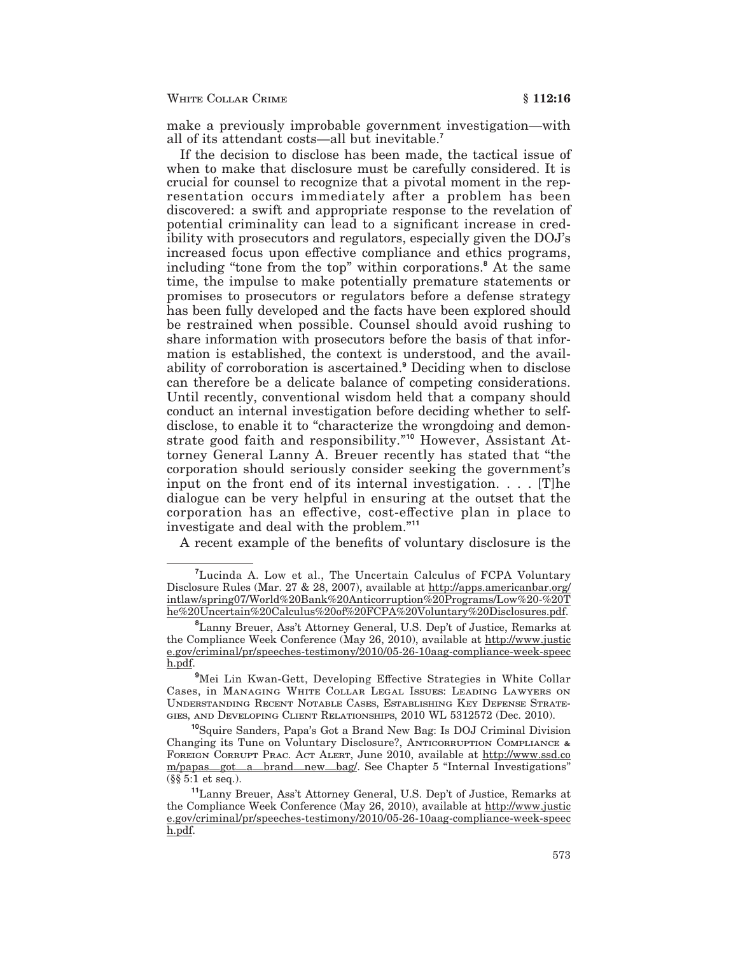#### WHITE COLLAR CRIME

make a previously improbable government investigation—with all of its attendant costs—all but inevitable.<sup>7</sup>

If the decision to disclose has been made, the tactical issue of when to make that disclosure must be carefully considered. It is crucial for counsel to recognize that a pivotal moment in the representation occurs immediately after a problem has been discovered: a swift and appropriate response to the revelation of potential criminality can lead to a significant increase in credibility with prosecutors and regulators, especially given the DOJ's increased focus upon effective compliance and ethics programs, including "tone from the top" within corporations.<sup>8</sup> At the same time, the impulse to make potentially premature statements or promises to prosecutors or regulators before a defense strategy has been fully developed and the facts have been explored should be restrained when possible. Counsel should avoid rushing to share information with prosecutors before the basis of that information is established, the context is understood, and the availability of corroboration is ascertained.<sup>9</sup> Deciding when to disclose can therefore be a delicate balance of competing considerations. Until recently, conventional wisdom held that a company should conduct an internal investigation before deciding whether to selfdisclose, to enable it to "characterize the wrongdoing and demonstrate good faith and responsibility."<sup>10</sup> However, Assistant Attorney General Lanny A. Breuer recently has stated that "the corporation should seriously consider seeking the government's input on the front end of its internal investigation.  $\ldots$  [T] he dialogue can be very helpful in ensuring at the outset that the corporation has an effective, cost-effective plan in place to investigate and deal with the problem."<sup>11</sup>

A recent example of the benefits of voluntary disclosure is the

<sup>&</sup>lt;sup>7</sup>Lucinda A. Low et al., The Uncertain Calculus of FCPA Voluntary Disclosure Rules (Mar. 27 & 28, 2007), available at http://apps.americanbar.org/ intlaw/spring07/World%20Bank%20Anticorruption%20Programs/Low%20-%20T he%20Uncertain%20Calculus%20of%20FCPA%20Voluntary%20Disclosures.pdf.

<sup>&</sup>lt;sup>8</sup> Lanny Breuer, Ass't Attorney General, U.S. Dep't of Justice, Remarks at the Compliance Week Conference (May 26, 2010), available at http://www.justic e.gov/criminal/pr/speeches-testimony/2010/05-26-10aag-compliance-week-speec h.pdf.

<sup>&</sup>lt;sup>9</sup>Mei Lin Kwan-Gett, Developing Effective Strategies in White Collar Cases, in MANAGING WHITE COLLAR LEGAL ISSUES: LEADING LAWYERS ON UNDERSTANDING RECENT NOTABLE CASES, ESTABLISHING KEY DEFENSE STRATE-GIES, AND DEVELOPING CLIENT RELATIONSHIPS, 2010 WL 5312572 (Dec. 2010).

<sup>&</sup>lt;sup>10</sup>Squire Sanders, Papa's Got a Brand New Bag: Is DOJ Criminal Division Changing its Tune on Voluntary Disclosure?, ANTICORRUPTION COMPLIANCE & FOREIGN CORRUPT PRAC. ACT ALERT, June 2010, available at http://www.ssd.co m/papas\_got\_a\_brand\_new\_bag/. See Chapter 5 "Internal Investigations"  $(\S \S 5:1$  et seq.).

<sup>&</sup>lt;sup>11</sup>Lanny Breuer, Ass't Attorney General, U.S. Dep't of Justice, Remarks at the Compliance Week Conference (May 26, 2010), available at http://www.justic e.gov/criminal/pr/speeches-testimony/2010/05-26-10aag-compliance-week-speec h.pdf.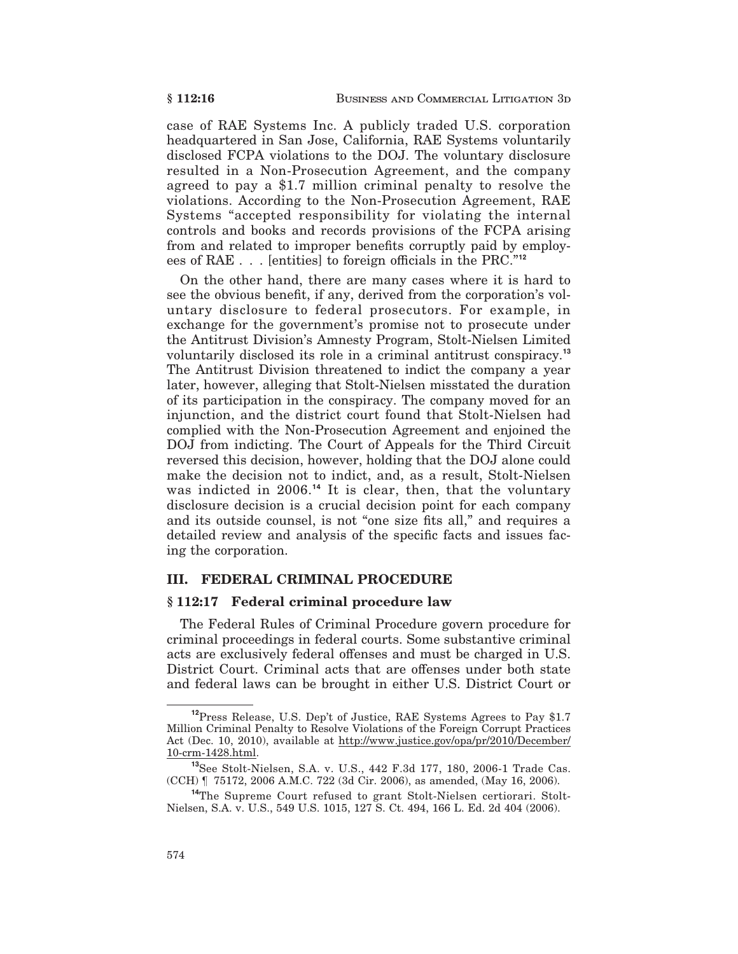case of RAE Systems Inc. A publicly traded U.S. corporation headquartered in San Jose, California, RAE Systems voluntarily disclosed FCPA violations to the DOJ. The voluntary disclosure resulted in a Non-Prosecution Agreement, and the company agreed to pay a \$1.7 million criminal penalty to resolve the violations. According to the Non-Prosecution Agreement, RAE Systems "accepted responsibility for violating the internal controls and books and records provisions of the FCPA arising from and related to improper benefits corruptly paid by employees of RAE . . . [entities] to foreign officials in the PRC."12

On the other hand, there are many cases where it is hard to see the obvious benefit, if any, derived from the corporation's voluntary disclosure to federal prosecutors. For example, in exchange for the government's promise not to prosecute under the Antitrust Division's Amnesty Program, Stolt-Nielsen Limited voluntarily disclosed its role in a criminal antitrust conspiracy.<sup>13</sup> The Antitrust Division threatened to indict the company a year later, however, alleging that Stolt-Nielsen misstated the duration of its participation in the conspiracy. The company moved for an injunction, and the district court found that Stolt-Nielsen had complied with the Non-Prosecution Agreement and enjoined the DOJ from indicting. The Court of Appeals for the Third Circuit reversed this decision, however, holding that the DOJ alone could make the decision not to indict, and, as a result, Stolt-Nielsen was indicted in 2006.<sup>14</sup> It is clear, then, that the voluntary disclosure decision is a crucial decision point for each company and its outside counsel, is not "one size fits all," and requires a detailed review and analysis of the specific facts and issues facing the corporation.

## **III. FEDERAL CRIMINAL PROCEDURE**

## § 112:17 Federal criminal procedure law

The Federal Rules of Criminal Procedure govern procedure for criminal proceedings in federal courts. Some substantive criminal acts are exclusively federal offenses and must be charged in U.S. District Court. Criminal acts that are offenses under both state and federal laws can be brought in either U.S. District Court or

<sup>&</sup>lt;sup>12</sup>Press Release, U.S. Dep't of Justice, RAE Systems Agrees to Pay \$1.7 Million Criminal Penalty to Resolve Violations of the Foreign Corrupt Practices Act (Dec. 10, 2010), available at http://www.justice.gov/opa/pr/2010/December/ 10-crm-1428.html.

<sup>&</sup>lt;sup>13</sup>See Stolt-Nielsen, S.A. v. U.S., 442 F.3d 177, 180, 2006-1 Trade Cas. (CCH) [ 75172, 2006 A.M.C. 722 (3d Cir. 2006), as amended, (May 16, 2006).

<sup>&</sup>lt;sup>14</sup>The Supreme Court refused to grant Stolt-Nielsen certiorari. Stolt-Nielsen, S.A. v. U.S., 549 U.S. 1015, 127 S. Ct. 494, 166 L. Ed. 2d 404 (2006).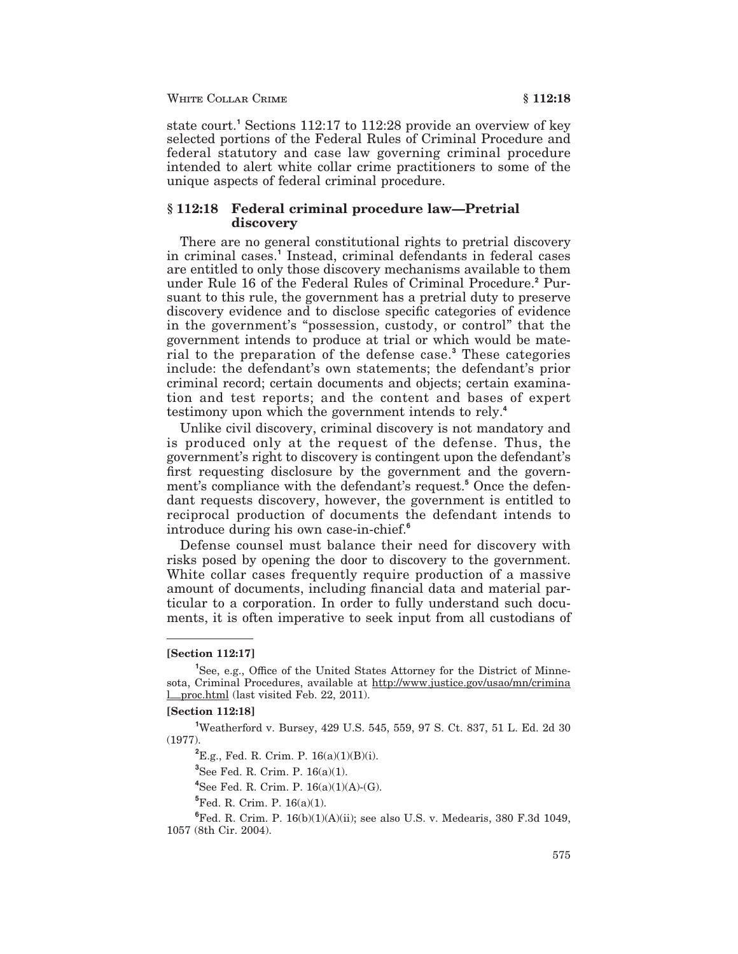state court.<sup>1</sup> Sections 112:17 to 112:28 provide an overview of key selected portions of the Federal Rules of Criminal Procedure and federal statutory and case law governing criminal procedure intended to alert white collar crime practitioners to some of the unique aspects of federal criminal procedure.

### § 112:18 Federal criminal procedure law—Pretrial discovery

There are no general constitutional rights to pretrial discovery in criminal cases.<sup>1</sup> Instead, criminal defendants in federal cases are entitled to only those discovery mechanisms available to them under Rule 16 of the Federal Rules of Criminal Procedure.<sup>2</sup> Pursuant to this rule, the government has a pretrial duty to preserve discovery evidence and to disclose specific categories of evidence in the government's "possession, custody, or control" that the government intends to produce at trial or which would be material to the preparation of the defense case.<sup>3</sup> These categories include: the defendant's own statements; the defendant's prior criminal record; certain documents and objects; certain examination and test reports; and the content and bases of expert testimony upon which the government intends to rely.<sup>4</sup>

Unlike civil discovery, criminal discovery is not mandatory and is produced only at the request of the defense. Thus, the government's right to discovery is contingent upon the defendant's first requesting disclosure by the government and the government's compliance with the defendant's request.<sup>5</sup> Once the defendant requests discovery, however, the government is entitled to reciprocal production of documents the defendant intends to introduce during his own case-in-chief.<sup>6</sup>

Defense counsel must balance their need for discovery with risks posed by opening the door to discovery to the government. White collar cases frequently require production of a massive amount of documents, including financial data and material particular to a corporation. In order to fully understand such documents, it is often imperative to seek input from all custodians of

#### [Section 112:17]

#### **Section 112:18**

<sup>1</sup>Weatherford v. Bursey, 429 U.S. 545, 559, 97 S. Ct. 837, 51 L. Ed. 2d 30  $(1977).$ 

 ${}^{2}E.g.,$  Fed. R. Crim. P. 16(a)(1)(B)(i).

 ${}^{3}$ See Fed. R. Crim. P. 16(a)(1).

<sup>4</sup>See Fed. R. Crim. P.  $16(a)(1)(A)-(G)$ .

 ${}^{5}$ Fed. R. Crim. P. 16(a)(1).

<sup>6</sup>Fed. R. Crim. P.  $16(b)(1)(A)(ii)$ ; see also U.S. v. Medearis, 380 F.3d 1049, 1057 (8th Cir. 2004).

See, e.g., Office of the United States Attorney for the District of Minnesota, Criminal Procedures, available at http://www.justice.gov/usao/mn/crimina **I\_proc.html** (last visited Feb. 22, 2011).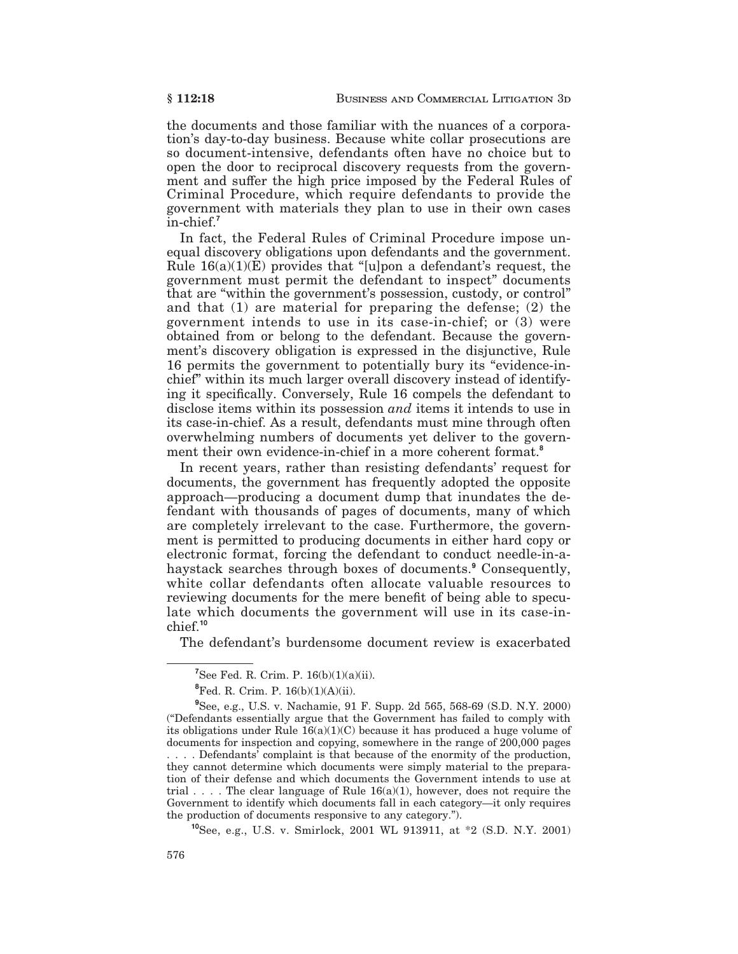the documents and those familiar with the nuances of a corporation's day-to-day business. Because white collar prosecutions are so document-intensive, defendants often have no choice but to open the door to reciprocal discovery requests from the government and suffer the high price imposed by the Federal Rules of Criminal Procedure, which require defendants to provide the government with materials they plan to use in their own cases in-chief.

In fact, the Federal Rules of Criminal Procedure impose unequal discovery obligations upon defendants and the government. Rule  $16(a)(1)(E)$  provides that "[u] pon a defendant's request, the government must permit the defendant to inspect" documents that are "within the government's possession, custody, or control" and that  $(1)$  are material for preparing the defense;  $(2)$  the government intends to use in its case-in-chief; or (3) were obtained from or belong to the defendant. Because the government's discovery obligation is expressed in the disjunctive, Rule 16 permits the government to potentially bury its "evidence-inchief" within its much larger overall discovery instead of identifying it specifically. Conversely, Rule 16 compels the defendant to disclose items within its possession *and* items it intends to use in its case-in-chief. As a result, defendants must mine through often overwhelming numbers of documents yet deliver to the government their own evidence-in-chief in a more coherent format.<sup>8</sup>

In recent years, rather than resisting defendants' request for documents, the government has frequently adopted the opposite approach—producing a document dump that inundates the defendant with thousands of pages of documents, many of which are completely irrelevant to the case. Furthermore, the government is permitted to producing documents in either hard copy or electronic format, forcing the defendant to conduct needle-in-ahaystack searches through boxes of documents.<sup>9</sup> Consequently, white collar defendants often allocate valuable resources to reviewing documents for the mere benefit of being able to speculate which documents the government will use in its case-in- $\text{chief.}^{10}$ 

The defendant's burdensome document review is exacerbated

<sup>10</sup>See. e.g., U.S. v. Smirlock, 2001 WL 913911, at \*2 (S.D. N.Y. 2001)

<sup>&</sup>lt;sup>7</sup>See Fed. R. Crim. P.  $16(b)(1)(a)(ii)$ .

<sup>&</sup>lt;sup>8</sup>Fed. R. Crim. P.  $16(b)(1)(A)(ii)$ .

 $^{9}$ See, e.g., U.S. v. Nachamie, 91 F. Supp. 2d 565, 568-69 (S.D. N.Y. 2000) ("Defendants essentially argue that the Government has failed to comply with its obligations under Rule  $16(a)(1)(C)$  because it has produced a huge volume of documents for inspection and copying, somewhere in the range of 200,000 pages ....Defendants' complaint is that because of the enormity of the production, they cannot determine which documents were simply material to the preparation of their defense and which documents the Government intends to use at trial .... The clear language of Rule  $16(a)(1)$ , however, does not require the Government to identify which documents fall in each category—it only requires the production of documents responsive to any category.").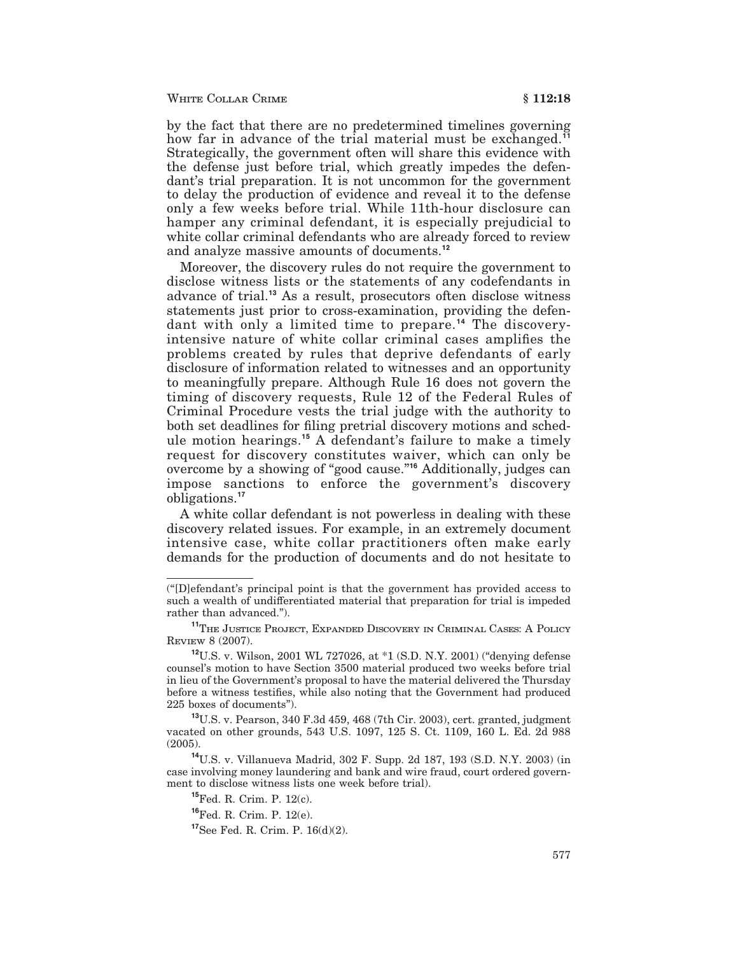#### WHITE COLLAR CRIME

by the fact that there are no predetermined timelines governing how far in advance of the trial material must be exchanged.<sup>11</sup> Strategically, the government often will share this evidence with the defense just before trial, which greatly impedes the defendant's trial preparation. It is not uncommon for the government to delay the production of evidence and reveal it to the defense only a few weeks before trial. While 11th-hour disclosure can hamper any criminal defendant, it is especially prejudicial to white collar criminal defendants who are already forced to review and analyze massive amounts of documents.<sup>12</sup>

Moreover, the discovery rules do not require the government to disclose witness lists or the statements of any codefendants in advance of trial.<sup>13</sup> As a result, prosecutors often disclose witness statements just prior to cross-examination, providing the defendant with only a limited time to prepare.<sup>14</sup> The discoveryintensive nature of white collar criminal cases amplifies the problems created by rules that deprive defendants of early disclosure of information related to witnesses and an opportunity to meaningfully prepare. Although Rule 16 does not govern the timing of discovery requests, Rule 12 of the Federal Rules of Criminal Procedure vests the trial judge with the authority to both set deadlines for filing pretrial discovery motions and schedule motion hearings.<sup>15</sup> A defendant's failure to make a timely request for discovery constitutes waiver, which can only be overcome by a showing of "good cause."<sup>16</sup> Additionally, judges can impose sanctions to enforce the government's discovery obligations.<sup>17</sup>

A white collar defendant is not powerless in dealing with these discovery related issues. For example, in an extremely document intensive case, white collar practitioners often make early demands for the production of documents and do not hesitate to

<sup>(&</sup>quot;[D]efendant's principal point is that the government has provided access to such a wealth of undifferentiated material that preparation for trial is impeded rather than advanced.").

<sup>&</sup>lt;sup>11</sup>THE JUSTICE PROJECT, EXPANDED DISCOVERY IN CRIMINAL CASES: A POLICY REVIEW 8 (2007).

<sup>&</sup>lt;sup>12</sup>U.S. v. Wilson, 2001 WL 727026, at \*1 (S.D. N.Y. 2001) ("denying defense counsel's motion to have Section 3500 material produced two weeks before trial in lieu of the Government's proposal to have the material delivered the Thursday before a witness testifies, while also noting that the Government had produced 225 boxes of documents").

<sup>&</sup>lt;sup>13</sup>U.S. v. Pearson, 340 F.3d 459, 468 (7th Cir. 2003), cert. granted, judgment vacated on other grounds, 543 U.S. 1097, 125 S. Ct. 1109, 160 L. Ed. 2d 988  $(2005).$ 

<sup>&</sup>lt;sup>14</sup>U.S. v. Villanueva Madrid, 302 F. Supp. 2d 187, 193 (S.D. N.Y. 2003) (in case involving money laundering and bank and wire fraud, court ordered government to disclose witness lists one week before trial).

<sup>&</sup>lt;sup>15</sup>Fed. R. Crim. P. 12(c).

<sup>&</sup>lt;sup>16</sup>Fed. R. Crim. P. 12(e).

 $17$ See Fed. R. Crim. P.  $16(d)(2)$ .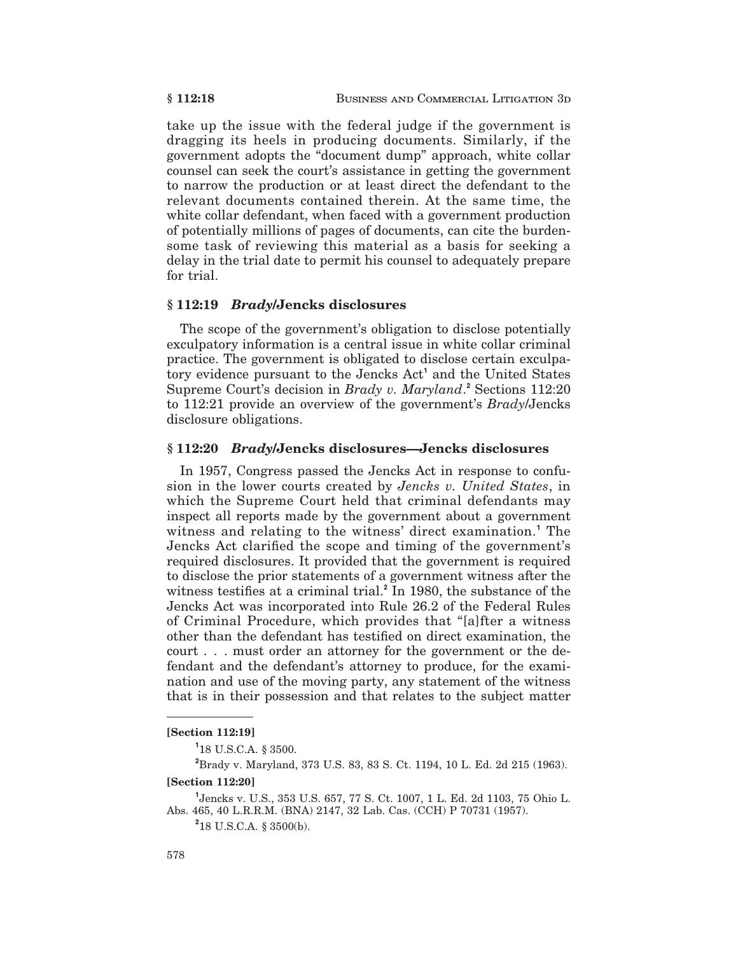take up the issue with the federal judge if the government is dragging its heels in producing documents. Similarly, if the government adopts the "document dump" approach, white collar counsel can seek the court's assistance in getting the government to narrow the production or at least direct the defendant to the relevant documents contained therein. At the same time, the white collar defendant, when faced with a government production of potentially millions of pages of documents, can cite the burdensome task of reviewing this material as a basis for seeking a delay in the trial date to permit his counsel to adequately prepare for trial.

### §112:19 *Brady*/Jencks disclosures

The scope of the government's obligation to disclose potentially exculpatory information is a central issue in white collar criminal practice. The government is obligated to disclose certain exculpatory evidence pursuant to the Jencks Act<sup>1</sup> and the United States Supreme Court's decision in *Brady v. Maryland*.<sup>2</sup> Sections 112:20 to 112:21 provide an overview of the government's Brady/Jencks disclosure obligations.

### § 112:20 *Brady*/Jencks disclosures—Jencks disclosures

In 1957, Congress passed the Jencks Act in response to confusion in the lower courts created by Jencks v. United States, in which the Supreme Court held that criminal defendants may inspect all reports made by the government about a government witness and relating to the witness' direct examination.<sup>1</sup> The Jencks Act clarified the scope and timing of the government's required disclosures. It provided that the government is required to disclose the prior statements of a government witness after the witness testifies at a criminal trial.<sup>2</sup> In 1980, the substance of the Jencks Act was incorporated into Rule 26.2 of the Federal Rules of Criminal Procedure, which provides that "[a] fter a witness other than the defendant has testified on direct examination, the court, ... must order an attorney for the government or the defendant and the defendant's attorney to produce, for the examination and use of the moving party, any statement of the witness that is in their possession and that relates to the subject matter

#### **[Section 112:19]**

<sup>1</sup>18 U.S.C.A. § 3500.

<sup>2</sup>Brady v. Maryland, 373 U.S. 83, 83 S. Ct. 1194, 10 L. Ed. 2d 215 (1963). **Section 112:201** 

<sup>1</sup> Jencks v. U.S., 353 U.S. 657, 77 S. Ct. 1007, 1 L. Ed. 2d 1103, 75 Ohio L. Abs. 465, 40 L.R.R.M. (BNA) 2147, 32 Lab. Cas. (CCH) P 70731 (1957).

 $218$  U.S.C.A. § 3500(b).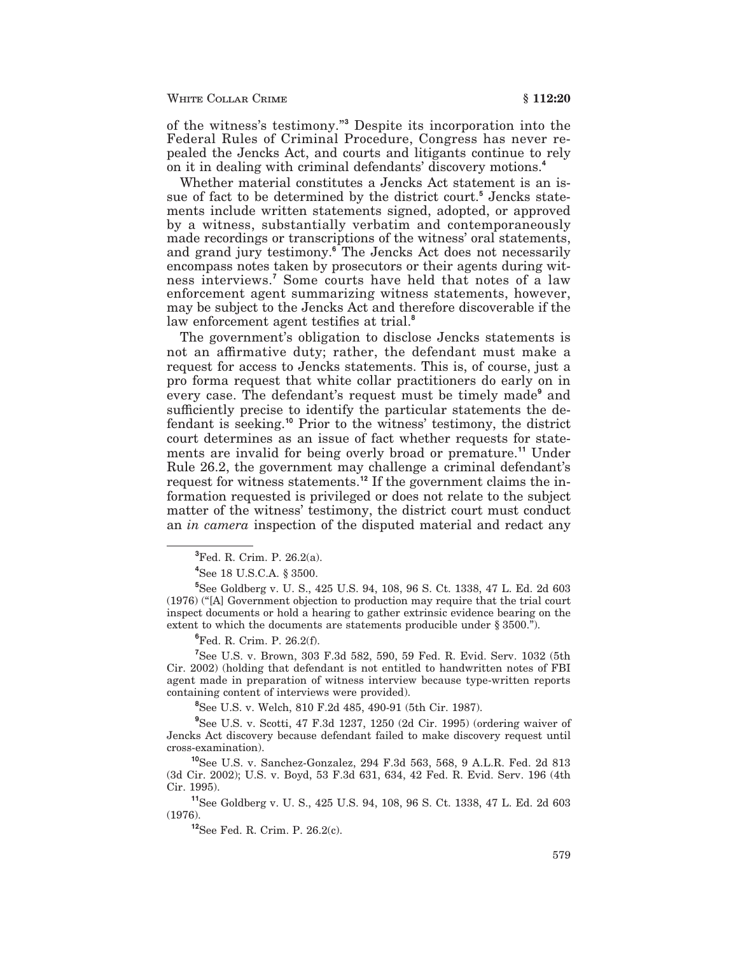of the witness's testimony." Despite its incorporation into the Federal Rules of Criminal Procedure, Congress has never repealed the Jencks Act, and courts and litigants continue to rely on it in dealing with criminal defendants' discovery motions.<sup>4</sup>

Whether material constitutes a Jencks Act statement is an issue of fact to be determined by the district court.<sup>5</sup> Jencks statements include written statements signed, adopted, or approved by a witness, substantially verbatim and contemporaneously made recordings or transcriptions of the witness' oral statements, and grand jury testimony.<sup>6</sup> The Jencks Act does not necessarily encompass notes taken by prosecutors or their agents during witness interviews.' Some courts have held that notes of a law enforcement agent summarizing witness statements, however, may be subject to the Jencks Act and therefore discoverable if the law enforcement agent testifies at trial.

The government's obligation to disclose Jencks statements is not an affirmative duty; rather, the defendant must make a request for access to Jencks statements. This is, of course, just a pro forma request that white collar practitioners do early on in every case. The defendant's request must be timely made<sup>9</sup> and sufficiently precise to identify the particular statements the defendant is seeking.<sup>10</sup> Prior to the witness' testimony, the district court determines as an issue of fact whether requests for statements are invalid for being overly broad or premature.<sup>11</sup> Under Rule 26.2, the government may challenge a criminal defendant's request for witness statements.<sup>12</sup> If the government claims the information requested is privileged or does not relate to the subject matter of the witness' testimony, the district court must conduct an *in camera* inspection of the disputed material and redact any

<sup>4</sup>See 18 U.S.C.A. § 3500.

<sup>5</sup>See Goldberg v. U.S., 425 U.S. 94, 108, 96 S. Ct. 1338, 47 L. Ed. 2d 603 (1976) ("[A] Government objection to production may require that the trial court inspect documents or hold a hearing to gather extrinsic evidence bearing on the extent to which the documents are statements producible under § 3500.").

 $^{6}$ Fed. R. Crim. P. 26.2(f).

<sup>7</sup>See U.S. v. Brown, 303 F.3d 582, 590, 59 Fed. R. Evid. Serv. 1032 (5th Cir. 2002) (holding that defendant is not entitled to handwritten notes of FBI agent made in preparation of witness interview because type-written reports containing content of interviews were provided).

<sup>8</sup>See U.S. v. Welch, 810 F.2d 485, 490-91 (5th Cir. 1987).

<sup>9</sup>See U.S. v. Scotti, 47 F.3d 1237, 1250 (2d Cir. 1995) (ordering waiver of Jencks Act discovery because defendant failed to make discovery request until cross-examination).

<sup>10</sup>See U.S. v. Sanchez-Gonzalez, 294 F.3d 563, 568, 9 A.L.R. Fed. 2d 813 (3d Cir. 2002); U.S. v. Boyd, 53 F.3d 631, 634, 42 Fed. R. Evid. Serv. 196 (4th Cir. 1995).

<sup>11</sup>See Goldberg v. U. S., 425 U.S. 94, 108, 96 S. Ct. 1338, 47 L. Ed. 2d 603  $(1976).$ 

 $^{12}$ See Fed. R. Crim. P. 26.2(c).

 ${}^{3}$ Fed. R. Crim. P. 26.2(a).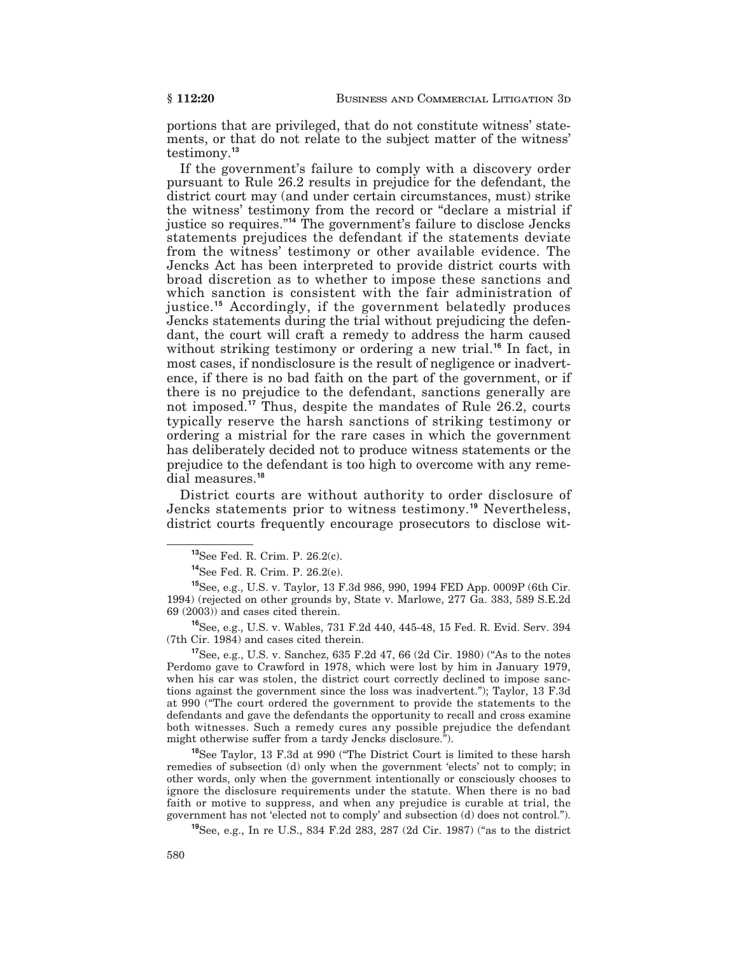portions that are privileged, that do not constitute witness' statements, or that do not relate to the subject matter of the witness' testimony.<sup>13</sup>

If the government's failure to comply with a discovery order pursuant to Rule 26.2 results in prejudice for the defendant, the district court may (and under certain circumstances, must) strike the witness' testimony from the record or "declare a mistrial if justice so requires."<sup>14</sup> The government's failure to disclose Jencks statements prejudices the defendant if the statements deviate from the witness' testimony or other available evidence. The Jencks Act has been interpreted to provide district courts with broad discretion as to whether to impose these sanctions and which sanction is consistent with the fair administration of justice.<sup>15</sup> Accordingly, if the government belatedly produces Jencks statements during the trial without prejudicing the defendant, the court will craft a remedy to address the harm caused without striking testimony or ordering a new trial.<sup>16</sup> In fact, in most cases, if nondisclosure is the result of negligence or inadvertence, if there is no bad faith on the part of the government, or if there is no prejudice to the defendant, sanctions generally are not imposed.<sup>17</sup> Thus, despite the mandates of Rule 26.2, courts typically reserve the harsh sanctions of striking testimony or ordering a mistrial for the rare cases in which the government has deliberately decided not to produce witness statements or the prejudice to the defendant is too high to overcome with any remedial measures.<sup>18</sup>

District courts are without authority to order disclosure of Jencks statements prior to witness testimony.<sup>19</sup> Nevertheless, district courts frequently encourage prosecutors to disclose wit-

<sup>16</sup>See, e.g., U.S. v. Wables, 731 F.2d 440, 445-48, 15 Fed. R. Evid. Serv. 394 (7th Cir. 1984) and cases cited therein.

<sup>17</sup>See, e.g., U.S. v. Sanchez, 635 F.2d 47, 66 (2d Cir. 1980) ("As to the notes Perdomo gave to Crawford in 1978, which were lost by him in January 1979, when his car was stolen, the district court correctly declined to impose sanctions against the government since the loss was inadvertent."); Taylor, 13 F.3d at 990 ("The court ordered the government to provide the statements to the defendants and gave the defendants the opportunity to recall and cross examine both witnesses. Such a remedy cures any possible prejudice the defendant might otherwise suffer from a tardy Jencks disclosure.").

<sup>18</sup>See Taylor, 13 F.3d at 990 ("The District Court is limited to these harsh remedies of subsection (d) only when the government 'elects' not to comply; in other words, only when the government intentionally or consciously chooses to ignore the disclosure requirements under the statute. When there is no bad faith or motive to suppress, and when any prejudice is curable at trial, the government has not 'elected not to comply' and subsection (d) does not control.").

<sup>19</sup>See. e.g., In re U.S., 834 F.2d 283, 287 (2d Cir. 1987) ("as to the district

<sup>&</sup>lt;sup>13</sup>See Fed. R. Crim. P. 26.2(c).

 $^{14}$ See Fed. R. Crim. P. 26.2(e).

<sup>&</sup>lt;sup>15</sup>See, e.g., U.S. v. Taylor, 13 F.3d 986, 990, 1994 FED App. 0009P (6th Cir. 1994) (rejected on other grounds by, State v. Marlowe, 277 Ga. 383, 589 S.E.2d)  $69(2003)$  and cases cited therein.